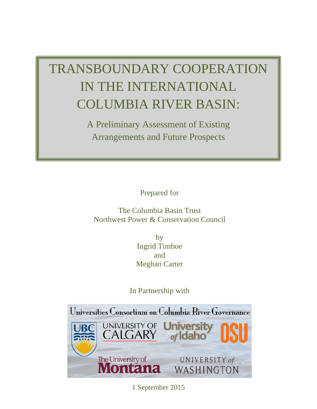# TRANSBOUNDARY COOPERATION IN THE INTERNATIONAL COLUMBIA RIVER BASIN:

A Preliminary Assessment of Existing Arrangements and Future Prospects

Prepared for

The Columbia Basin Trust Northwest Power & Conservation Council

> by Ingrid Timboe and Meghan Carter

In Partnership with



1 September 2015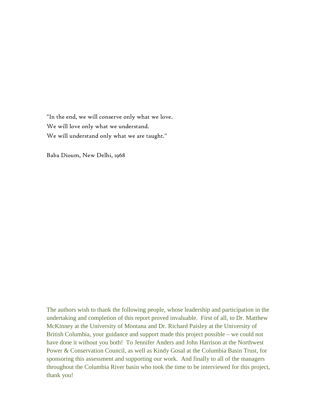"In the end, we will conserve only what we love. We will love only what we understand. We will understand only what we are taught."

Baba Dioum, New Delhi, 1968

The authors wish to thank the following people, whose leadership and participation in the undertaking and completion of this report proved invaluable. First of all, to Dr. Matthew McKinney at the University of Montana and Dr. Richard Paisley at the University of British Columbia, your guidance and support made this project possible – we could not have done it without you both! To Jennifer Anders and John Harrison at the Northwest Power & Conservation Council, as well as Kindy Gosal at the Columbia Basin Trust, for sponsoring this assessment and supporting our work. And finally to all of the managers throughout the Columbia River basin who took the time to be interviewed for this project, thank you!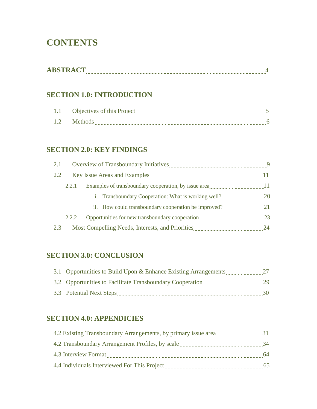# **CONTENTS**

| ---- |
|------|
|------|

# **SECTION 1.0: INTRODUCTION**

|             | <b>Objectives of this Project</b><br>. |  |
|-------------|----------------------------------------|--|
| $(1/2 - 8)$ | $M$ ethr<br>--------                   |  |

# **SECTION 2.0: KEY FINDINGS**

| 2.1 |       |                                                      | 9         |
|-----|-------|------------------------------------------------------|-----------|
| 2.2 |       |                                                      |           |
|     | 2.2.1 |                                                      |           |
|     |       | i. Transboundary Cooperation: What is working well?  | <b>20</b> |
|     |       | ii. How could transboundary cooperation be improved? | 21        |
|     | 2.2.2 |                                                      | 23        |
| 2.3 |       |                                                      | 24        |

# **SECTION 3.0: CONCLUSION**

| 3.1 Opportunities to Build Upon & Enhance Existing Arrangements |     |
|-----------------------------------------------------------------|-----|
| 3.2 Opportunities to Facilitate Transboundary Cooperation       | 29. |
| 3.3 Potential Next Steps                                        | 30. |

# **SECTION 4.0: APPENDICIES**

| 4.2 Existing Transboundary Arrangements, by primary issue area |    |
|----------------------------------------------------------------|----|
| 4.2 Transboundary Arrangement Profiles, by scale               | 34 |
| 4.3 Interview Format                                           | 64 |
| 4.4 Individuals Interviewed For This Project                   | 65 |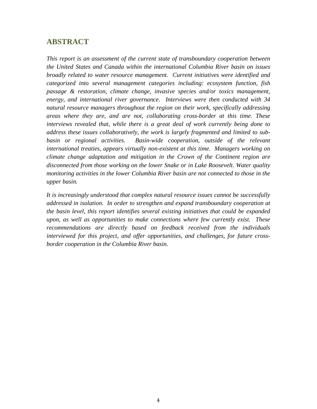# **ABSTRACT**

*This report is an assessment of the current state of transboundary cooperation between the United States and Canada within the international Columbia River basin on issues broadly related to water resource management. Current initiatives were identified and categorized into several management categories including: ecosystem function, fish passage & restoration, climate change, invasive species and/or toxics management, energy, and international river governance. Interviews were then conducted with 34 natural resource managers throughout the region on their work, specifically addressing areas where they are, and are not, collaborating cross-border at this time. These interviews revealed that, while there is a great deal of work currently being done to address these issues collaboratively, the work is largely fragmented and limited to subbasin or regional activities. Basin-wide cooperation, outside of the relevant international treaties, appears virtually non-existent at this time. Managers working on climate change adaptation and mitigation in the Crown of the Continent region are disconnected from those working on the lower Snake or in Lake Roosevelt. Water quality monitoring activities in the lower Columbia River basin are not connected to those in the upper basin.* 

*It is increasingly understood that complex natural resource issues cannot be successfully addressed in isolation. In order to strengthen and expand transboundary cooperation at the basin level, this report identifies several existing initiatives that could be expanded upon, as well as opportunities to make connections where few currently exist. These recommendations are directly based on feedback received from the individuals interviewed for this project, and offer opportunities, and challenges, for future crossborder cooperation in the Columbia River basin.*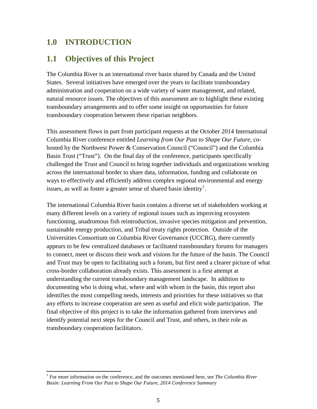# **1.0 INTRODUCTION**

# **1.1 Objectives of this Project**

The Columbia River is an international river basin shared by Canada and the United States. Several initiatives have emerged over the years to facilitate transboundary administration and cooperation on a wide variety of water management, and related, natural resource issues. The objectives of this assessment are to highlight these existing transboundary arrangements and to offer some insight on opportunities for future transboundary cooperation between these riparian neighbors.

This assessment flows in part from participant requests at the October 2014 International Columbia River conference entitled *Learning from Our Past to Shape Our Future*, cohosted by the Northwest Power & Conservation Council ("Council") and the Columbia Basin Trust ("Trust"). On the final day of the conference, participants specifically challenged the Trust and Council to bring together individuals and organizations working across the international border to share data, information, funding and collaborate on ways to effectively and efficiently address complex regional environmental and energy issues, as well as foster a greater sense of shared basin identity<sup>[1](#page-4-0)</sup>.

The international Columbia River basin contains a diverse set of stakeholders working at many different levels on a variety of regional issues such as improving ecosystem functioning, anadromous fish reintroduction, invasive species mitigation and prevention, sustainable energy production, and Tribal treaty rights protection. Outside of the Universities Consortium on Columbia River Governance (UCCRG), there currently appears to be few centralized databases or facilitated transboundary forums for managers to connect, meet or discuss their work and visions for the future of the basin. The Council and Trust may be open to facilitating such a forum, but first need a clearer picture of what cross-border collaboration already exists. This assessment is a first attempt at understanding the current transboundary management landscape. In addition to documenting who is doing what, where and with whom in the basin, this report also identifies the most compelling needs, interests and priorities for these initiatives so that any efforts to increase cooperation are seen as useful and elicit wide participation. The final objective of this project is to take the information gathered from interviews and identify potential next steps for the Council and Trust, and others, in their role as transboundary cooperation facilitators.

<span id="page-4-0"></span><sup>1</sup> For more information on the conference, and the outcomes mentioned here, see *The Columbia River Basin: Learning From Our Past to Shape Our Future, 2014 Conference Summary*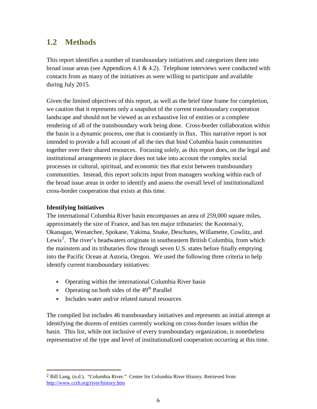# **1.2 Methods**

This report identifies a number of transboundary initiatives and categorizes them into broad issue areas (see Appendices 4.1  $\&$  4.2). Telephone interviews were conducted with contacts from as many of the initiatives as were willing to participate and available during July 2015.

Given the limited objectives of this report, as well as the brief time frame for completion, we caution that it represents only a snapshot of the current transboundary cooperation landscape and should not be viewed as an exhaustive list of entities or a complete rendering of all of the transboundary work being done. Cross-border collaboration within the basin is a dynamic process, one that is constantly in flux. This narrative report is not intended to provide a full account of all the ties that bind Columbia basin communities together over their shared resources. Focusing solely, as this report does, on the legal and institutional arrangements in place does not take into account the complex social processes or cultural, spiritual, and economic ties that exist between transboundary communities. Instead, this report solicits input from managers working within each of the broad issue areas in order to identify and assess the overall level of institutionalized cross-border cooperation that exists at this time.

# **Identifying Initiatives**

The international Columbia River basin encompasses an area of 259,000 square miles, approximately the size of France, and has ten major tributaries: the Kootenai/y, Okanagan, Wenatchee, Spokane, Yakima, Snake, Deschutes, Willamette, Cowlitz, and Lewis<sup>[2](#page-5-0)</sup>. The river's headwaters originate in southeastern British Columbia, from which the mainstem and its tributaries flow through seven U.S. states before finally emptying into the Pacific Ocean at Astoria, Oregon. We used the following three criteria to help identify current transboundary initiatives:

- Operating within the international Columbia River basin
- Operating on both sides of the  $49<sup>th</sup>$  Parallel
- Includes water and/or related natural resources

The compiled list includes 46 transboundary initiatives and represents an initial attempt at identifying the dozens of entities currently working on cross-border issues within the basin. This list, while not inclusive of every transboundary organization, is nonetheless representative of the type and level of institutionalized cooperation occurring at this time.

<span id="page-5-0"></span><sup>&</sup>lt;sup>2</sup> Bill Lang. (n.d.). "Columbia River." Center for Columbia River History. Retrieved from <http://www.ccrh.org/river/history.htm>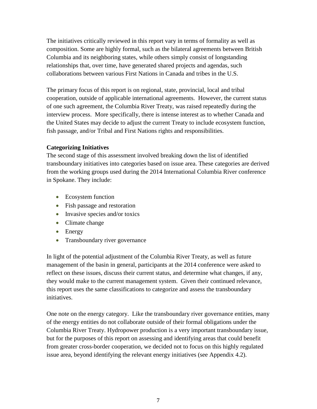The initiatives critically reviewed in this report vary in terms of formality as well as composition. Some are highly formal, such as the bilateral agreements between British Columbia and its neighboring states, while others simply consist of longstanding relationships that, over time, have generated shared projects and agendas, such collaborations between various First Nations in Canada and tribes in the U.S.

The primary focus of this report is on regional, state, provincial, local and tribal cooperation, outside of applicable international agreements. However, the current status of one such agreement, the Columbia River Treaty, was raised repeatedly during the interview process. More specifically, there is intense interest as to whether Canada and the United States may decide to adjust the current Treaty to include ecosystem function, fish passage, and/or Tribal and First Nations rights and responsibilities.

# **Categorizing Initiatives**

The second stage of this assessment involved breaking down the list of identified transboundary initiatives into categories based on issue area. These categories are derived from the working groups used during the 2014 International Columbia River conference in Spokane. They include:

- Ecosystem function
- Fish passage and restoration
- Invasive species and/or toxics
- Climate change
- Energy
- Transboundary river governance

In light of the potential adjustment of the Columbia River Treaty, as well as future management of the basin in general, participants at the 2014 conference were asked to reflect on these issues, discuss their current status, and determine what changes, if any, they would make to the current management system. Given their continued relevance, this report uses the same classifications to categorize and assess the transboundary initiatives.

One note on the energy category. Like the transboundary river governance entities, many of the energy entities do not collaborate outside of their formal obligations under the Columbia River Treaty. Hydropower production is a very important transboundary issue, but for the purposes of this report on assessing and identifying areas that could benefit from greater cross-border cooperation, we decided not to focus on this highly regulated issue area, beyond identifying the relevant energy initiatives (see Appendix 4.2).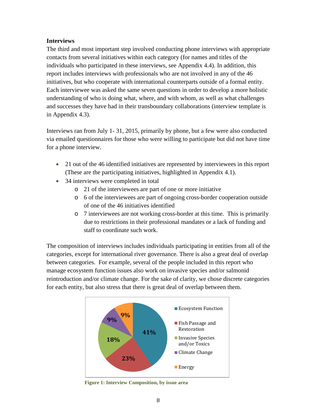# **Interviews**

The third and most important step involved conducting phone interviews with appropriate contacts from several initiatives within each category (for names and titles of the individuals who participated in these interviews, see Appendix 4.4). In addition, this report includes interviews with professionals who are not involved in any of the 46 initiatives, but who cooperate with international counterparts outside of a formal entity. Each interviewee was asked the same seven questions in order to develop a more holistic understanding of who is doing what, where, and with whom, as well as what challenges and successes they have had in their transboundary collaborations (interview template is in Appendix 4.3).

Interviews ran from July 1- 31, 2015, primarily by phone, but a few were also conducted via emailed questionnaires for those who were willing to participate but did not have time for a phone interview.

- 21 out of the 46 identified initiatives are represented by interviewees in this report (These are the participating initiatives, highlighted in Appendix 4.1).
- 34 interviews were completed in total
	- o 21 of the interviewees are part of one or more initiative
	- o 6 of the interviewees are part of ongoing cross-border cooperation outside of one of the 46 initiatives identified
	- o 7 interviewees are not working cross-border at this time. This is primarily due to restrictions in their professional mandates or a lack of funding and staff to coordinate such work.

The composition of interviews includes individuals participating in entities from all of the categories, except for international river governance. There is also a great deal of overlap between categories. For example, several of the people included in this report who manage ecosystem function issues also work on invasive species and/or salmonid reintroduction and/or climate change. For the sake of clarity, we chose discrete categories for each entity, but also stress that there is great deal of overlap between them.



 **Figure 1: Interview Composition, by issue area**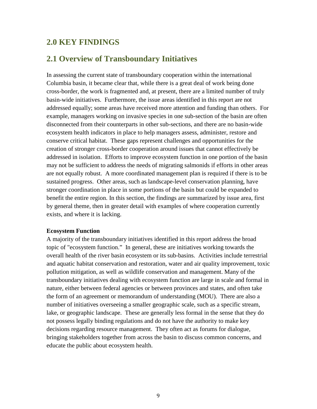# **2.0 KEY FINDINGS**

# **2.1 Overview of Transboundary Initiatives**

In assessing the current state of transboundary cooperation within the international Columbia basin, it became clear that, while there is a great deal of work being done cross-border, the work is fragmented and, at present, there are a limited number of truly basin-wide initiatives. Furthermore, the issue areas identified in this report are not addressed equally; some areas have received more attention and funding than others. For example, managers working on invasive species in one sub-section of the basin are often disconnected from their counterparts in other sub-sections, and there are no basin-wide ecosystem health indicators in place to help managers assess, administer, restore and conserve critical habitat. These gaps represent challenges and opportunities for the creation of stronger cross-border cooperation around issues that cannot effectively be addressed in isolation. Efforts to improve ecosystem function in one portion of the basin may not be sufficient to address the needs of migrating salmonids if efforts in other areas are not equally robust. A more coordinated management plan is required if there is to be sustained progress. Other areas, such as landscape-level conservation planning, have stronger coordination in place in some portions of the basin but could be expanded to benefit the entire region. In this section, the findings are summarized by issue area, first by general theme, then in greater detail with examples of where cooperation currently exists, and where it is lacking.

#### **Ecosystem Function**

A majority of the transboundary initiatives identified in this report address the broad topic of "ecosystem function." In general, these are initiatives working towards the overall health of the river basin ecosystem or its sub-basins. Activities include terrestrial and aquatic habitat conservation and restoration, water and air quality improvement, toxic pollution mitigation, as well as wildlife conservation and management. Many of the transboundary initiatives dealing with ecosystem function are large in scale and formal in nature, either between federal agencies or between provinces and states, and often take the form of an agreement or memorandum of understanding (MOU). There are also a number of initiatives overseeing a smaller geographic scale, such as a specific stream, lake, or geographic landscape. These are generally less formal in the sense that they do not possess legally binding regulations and do not have the authority to make key decisions regarding resource management. They often act as forums for dialogue, bringing stakeholders together from across the basin to discuss common concerns, and educate the public about ecosystem health.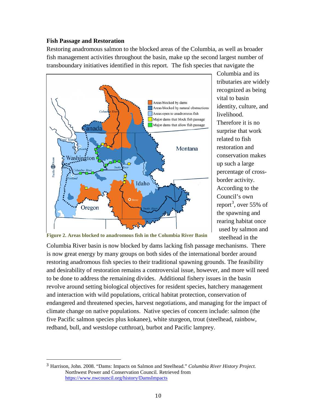# **Fish Passage and Restoration**

Restoring anadromous salmon to the blocked areas of the Columbia, as well as broader fish management activities throughout the basin, make up the second largest number of transboundary initiatives identified in this report. The fish species that navigate the



Columbia and its tributaries are widely recognized as being vital to basin identity, culture, and livelihood. Therefore it is no surprise that work related to fish restoration and conservation makes up such a large percentage of crossborder activity. According to the Council's own report<sup>[3](#page-9-0)</sup>, over 55% of the spawning and rearing habitat once used by salmon and steelhead in the

**Figure 2. Areas blocked to anadromous fish in the Columbia River Basin**

Columbia River basin is now blocked by dams lacking fish passage mechanisms. There is now great energy by many groups on both sides of the international border around restoring anadromous fish species to their traditional spawning grounds. The feasibility and desirability of restoration remains a controversial issue, however, and more will need to be done to address the remaining divides. Additional fishery issues in the basin revolve around setting biological objectives for resident species, hatchery management and interaction with wild populations, critical habitat protection, conservation of endangered and threatened species, harvest negotiations, and managing for the impact of climate change on native populations. Native species of concern include: salmon (the five Pacific salmon species plus kokanee), white sturgeon, trout (steelhead, rainbow, redband, bull, and westslope cutthroat), burbot and Pacific lamprey.

<span id="page-9-0"></span> <sup>3</sup> Harrison, John. 2008. "Dams: Impacts on Salmon and Steelhead." *Columbia River History Project.* Northwest Power and Conservation Council. Retrieved from <https://www.nwcouncil.org/history/DamsImpacts>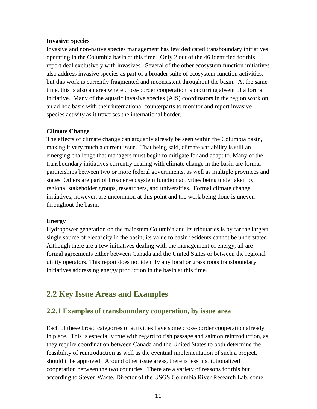#### **Invasive Species**

Invasive and non-native species management has few dedicated transboundary initiatives operating in the Columbia basin at this time. Only 2 out of the 46 identified for this report deal exclusively with invasives. Several of the other ecosystem function initiatives also address invasive species as part of a broader suite of ecosystem function activities, but this work is currently fragmented and inconsistent throughout the basin. At the same time, this is also an area where cross-border cooperation is occurring absent of a formal initiative. Many of the aquatic invasive species (AIS) coordinators in the region work on an ad hoc basis with their international counterparts to monitor and report invasive species activity as it traverses the international border.

### **Climate Change**

The effects of climate change can arguably already be seen within the Columbia basin, making it very much a current issue. That being said, climate variability is still an emerging challenge that managers must begin to mitigate for and adapt to. Many of the transboundary initiatives currently dealing with climate change in the basin are formal partnerships between two or more federal governments, as well as multiple provinces and states. Others are part of broader ecosystem function activities being undertaken by regional stakeholder groups, researchers, and universities. Formal climate change initiatives, however, are uncommon at this point and the work being done is uneven throughout the basin.

### **Energy**

Hydropower generation on the mainstem Columbia and its tributaries is by far the largest single source of electricity in the basin; its value to basin residents cannot be understated. Although there are a few initiatives dealing with the management of energy, all are formal agreements either between Canada and the United States or between the regional utility operators. This report does not identify any local or grass roots transboundary initiatives addressing energy production in the basin at this time.

# **2.2 Key Issue Areas and Examples**

# **2.2.1 Examples of transboundary cooperation, by issue area**

Each of these broad categories of activities have some cross-border cooperation already in place. This is especially true with regard to fish passage and salmon reintroduction, as they require coordination between Canada and the United States to both determine the feasibility of reintroduction as well as the eventual implementation of such a project, should it be approved. Around other issue areas, there is less institutionalized cooperation between the two countries. There are a variety of reasons for this but according to Steven Waste, Director of the USGS Columbia River Research Lab, some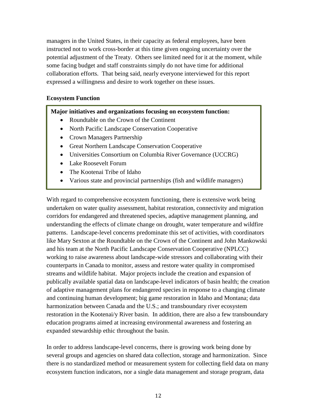managers in the United States, in their capacity as federal employees, have been instructed not to work cross-border at this time given ongoing uncertainty over the potential adjustment of the Treaty. Others see limited need for it at the moment, while some facing budget and staff constraints simply do not have time for additional collaboration efforts. That being said, nearly everyone interviewed for this report expressed a willingness and desire to work together on these issues.

### **Ecosystem Function**

**Major initiatives and organizations focusing on ecosystem function:**

- Roundtable on the Crown of the Continent
- North Pacific Landscape Conservation Cooperative
- Crown Managers Partnership
- Great Northern Landscape Conservation Cooperative
- Universities Consortium on Columbia River Governance (UCCRG)
- Lake Roosevelt Forum
- The Kootenai Tribe of Idaho
- Various state and provincial partnerships (fish and wildlife managers)

With regard to comprehensive ecosystem functioning, there is extensive work being undertaken on water quality assessment, habitat restoration, connectivity and migration corridors for endangered and threatened species, adaptive management planning, and understanding the effects of climate change on drought, water temperature and wildfire patterns. Landscape-level concerns predominate this set of activities, with coordinators like Mary Sexton at the Roundtable on the Crown of the Continent and John Mankowski and his team at the North Pacific Landscape Conservation Cooperative (NPLCC) working to raise awareness about landscape-wide stressors and collaborating with their counterparts in Canada to monitor, assess and restore water quality in compromised streams and wildlife habitat. Major projects include the creation and expansion of publically available spatial data on landscape-level indicators of basin health; the creation of adaptive management plans for endangered species in response to a changing climate and continuing human development; big game restoration in Idaho and Montana; data harmonization between Canada and the U.S.; and transboundary river ecosystem restoration in the Kootenai/y River basin. In addition, there are also a few transboundary education programs aimed at increasing environmental awareness and fostering an expanded stewardship ethic throughout the basin.

In order to address landscape-level concerns, there is growing work being done by several groups and agencies on shared data collection, storage and harmonization. Since there is no standardized method or measurement system for collecting field data on many ecosystem function indicators, nor a single data management and storage program, data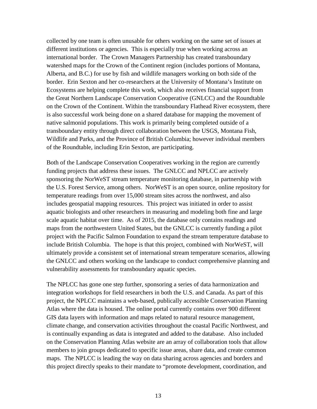collected by one team is often unusable for others working on the same set of issues at different institutions or agencies. This is especially true when working across an international border. The Crown Managers Partnership has created transboundary watershed maps for the Crown of the Continent region (includes portions of Montana, Alberta, and B.C.) for use by fish and wildlife managers working on both side of the border. Erin Sexton and her co-researchers at the University of Montana's Institute on Ecosystems are helping complete this work, which also receives financial support from the Great Northern Landscape Conservation Cooperative (GNLCC) and the Roundtable on the Crown of the Continent. Within the transboundary Flathead River ecosystem, there is also successful work being done on a shared database for mapping the movement of native salmonid populations. This work is primarily being completed outside of a transboundary entity through direct collaboration between the USGS, Montana Fish, Wildlife and Parks, and the Province of British Columbia; however individual members of the Roundtable, including Erin Sexton, are participating.

Both of the Landscape Conservation Cooperatives working in the region are currently funding projects that address these issues. The GNLCC and NPLCC are actively sponsoring the NorWeST stream temperature monitoring database, in partnership with the U.S. Forest Service, among others. NorWeST is an open source, online repository for temperature readings from over 15,000 stream sites across the northwest, and also includes geospatial mapping resources. This project was initiated in order to assist aquatic biologists and other researchers in measuring and modeling both fine and large scale aquatic habitat over time. As of 2015, the database only contains readings and maps from the northwestern United States, but the GNLCC is currently funding a pilot project with the Pacific Salmon Foundation to expand the stream temperature database to include British Columbia. The hope is that this project, combined with NorWeST, will ultimately provide a consistent set of international stream temperature scenarios, allowing the GNLCC and others working on the landscape to conduct comprehensive planning and vulnerability assessments for transboundary aquatic species.

The NPLCC has gone one step further, sponsoring a series of data harmonization and integration workshops for field researchers in both the U.S. and Canada. As part of this project, the NPLCC maintains a web-based, publically accessible Conservation Planning Atlas where the data is housed. The online portal currently contains over 900 different GIS data layers with information and maps related to natural resource management, climate change, and conservation activities throughout the coastal Pacific Northwest, and is continually expanding as data is integrated and added to the database. Also included on the Conservation Planning Atlas website are an array of collaboration tools that allow members to join groups dedicated to specific issue areas, share data, and create common maps. The NPLCC is leading the way on data sharing across agencies and borders and this project directly speaks to their mandate to "promote development, coordination, and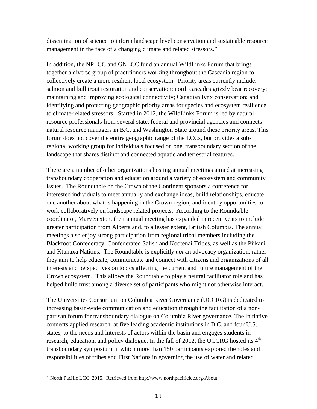dissemination of science to inform landscape level conservation and sustainable resource management in the face of a changing climate and related stressors."<sup>[4](#page-13-0)</sup>

In addition, the NPLCC and GNLCC fund an annual WildLinks Forum that brings together a diverse group of practitioners working throughout the Cascadia region to collectively create a more resilient local ecosystem. Priority areas currently include: salmon and bull trout restoration and conservation; north cascades grizzly bear recovery; maintaining and improving ecological connectivity; Canadian lynx conservation; and identifying and protecting geographic priority areas for species and ecosystem resilience to climate-related stressors. Started in 2012, the WildLinks Forum is led by natural resource professionals from several state, federal and provincial agencies and connects natural resource managers in B.C. and Washington State around these priority areas. This forum does not cover the entire geographic range of the LCCs, but provides a subregional working group for individuals focused on one, transboundary section of the landscape that shares distinct and connected aquatic and terrestrial features.

There are a number of other organizations hosting annual meetings aimed at increasing transboundary cooperation and education around a variety of ecosystem and community issues. The Roundtable on the Crown of the Continent sponsors a conference for interested individuals to meet annually and exchange ideas, build relationships, educate one another about what is happening in the Crown region, and identify opportunities to work collaboratively on landscape related projects. According to the Roundtable coordinator, Mary Sexton, their annual meeting has expanded in recent years to include greater participation from Alberta and, to a lesser extent, British Columbia. The annual meetings also enjoy strong participation from regional tribal members including the Blackfoot Confederacy, Confederated Salish and Kootenai Tribes, as well as the Piikani and Ktunaxa Nations. The Roundtable is explicitly *not* an advocacy organization, rather they aim to help educate, communicate and connect with citizens and organizations of all interests and perspectives on topics affecting the current and future management of the Crown ecosystem. This allows the Roundtable to play a neutral facilitator role and has helped build trust among a diverse set of participants who might not otherwise interact.

The Universities Consortium on Columbia River Governance (UCCRG) is dedicated to increasing basin-wide communication and education through the facilitation of a nonpartisan forum for transboundary dialogue on Columbia River governance. The initiative connects applied research, at five leading academic institutions in B.C. and four U.S. states, to the needs and interests of actors within the basin and engages students in research, education, and policy dialogue. In the fall of 2012, the UCCRG hosted its  $4<sup>th</sup>$ transboundary symposium in which more than 150 participants explored the roles and responsibilities of tribes and First Nations in governing the use of water and related

<span id="page-13-0"></span> <sup>4</sup> North Pacific LCC. 2015. Retrieved from http://www.northpacificlcc.org/About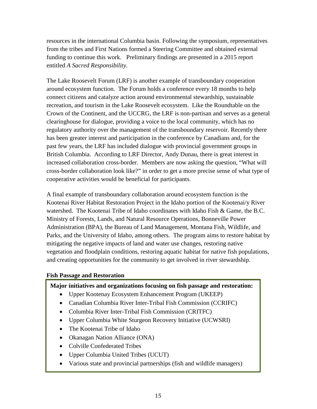resources in the international Columbia basin. Following the symposium, representatives from the tribes and First Nations formed a Steering Committee and obtained external funding to continue this work. Preliminary findings are presented in a 2015 report entitled *A Sacred Responsibility.* 

The Lake Roosevelt Forum (LRF) is another example of transboundary cooperation around ecosystem function. The Forum holds a conference every 18 months to help connect citizens and catalyze action around environmental stewardship, sustainable recreation, and tourism in the Lake Roosevelt ecosystem. Like the Roundtable on the Crown of the Continent, and the UCCRG, the LRF is non-partisan and serves as a general clearinghouse for dialogue, providing a voice to the local community, which has no regulatory authority over the management of the transboundary reservoir. Recently there has been greater interest and participation in the conference by Canadians and, for the past few years, the LRF has included dialogue with provincial government groups in British Columbia. According to LRF Director, Andy Dunau, there is great interest in increased collaboration cross-border. Members are now asking the question, "What will cross-border collaboration look like?" in order to get a more precise sense of what type of cooperative activities would be beneficial for participants.

A final example of transboundary collaboration around ecosystem function is the Kootenai River Habitat Restoration Project in the Idaho portion of the Kootenai/y River watershed. The Kootenai Tribe of Idaho coordinates with Idaho Fish & Game, the B.C. Ministry of Forests, Lands, and Natural Resource Operations, Bonneville Power Administration (BPA), the Bureau of Land Management, Montana Fish, Wildlife, and Parks, and the University of Idaho, among others. The program aims to restore habitat by mitigating the negative impacts of land and water use changes, restoring native vegetation and floodplain conditions, restoring aquatic habitat for native fish populations, and creating opportunities for the community to get involved in river stewardship.

### **Fish Passage and Restoration**

### **Major initiatives and organizations focusing on fish passage and restoration:**

- Upper Kootenay Ecosystem Enhancement Program (UKEEP)
- Canadian Columbia River Inter-Tribal Fish Commission (CCRIFC)
- Columbia River Inter-Tribal Fish Commission (CRITFC)
- Upper Columbia White Sturgeon Recovery Initiative (UCWSRI)
- The Kootenai Tribe of Idaho
- Okanagan Nation Alliance (ONA)
- Colville Confederated Tribes
- Upper Columbia United Tribes (UCUT)
- Various state and provincial partnerships (fish and wildlife managers)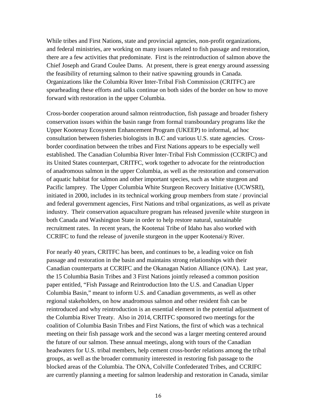While tribes and First Nations, state and provincial agencies, non-profit organizations, and federal ministries, are working on many issues related to fish passage and restoration, there are a few activities that predominate. First is the reintroduction of salmon above the Chief Joseph and Grand Coulee Dams. At present, there is great energy around assessing the feasibility of returning salmon to their native spawning grounds in Canada. Organizations like the Columbia River Inter-Tribal Fish Commission (CRITFC) are spearheading these efforts and talks continue on both sides of the border on how to move forward with restoration in the upper Columbia.

Cross-border cooperation around salmon reintroduction, fish passage and broader fishery conservation issues within the basin range from formal transboundary programs like the Upper Kootenay Ecosystem Enhancement Program (UKEEP) to informal, ad hoc consultation between fisheries biologists in B.C and various U.S. state agencies. Crossborder coordination between the tribes and First Nations appears to be especially well established. The Canadian Columbia River Inter-Tribal Fish Commission (CCRIFC) and its United States counterpart, CRITFC, work together to advocate for the reintroduction of anadromous salmon in the upper Columbia, as well as the restoration and conservation of aquatic habitat for salmon and other important species, such as white sturgeon and Pacific lamprey. The Upper Columbia White Sturgeon Recovery Initiative (UCWSRI), initiated in 2000, includes in its technical working group members from state / provincial and federal government agencies, First Nations and tribal organizations, as well as private industry. Their conservation aquaculture program has released juvenile white sturgeon in both Canada and Washington State in order to help restore natural, sustainable recruitment rates. In recent years, the Kootenai Tribe of Idaho has also worked with CCRIFC to fund the release of juvenile sturgeon in the upper Kootenai/y River.

For nearly 40 years, CRITFC has been, and continues to be, a leading voice on fish passage and restoration in the basin and maintains strong relationships with their Canadian counterparts at CCRIFC and the Okanagan Nation Alliance (ONA). Last year, the 15 Columbia Basin Tribes and 3 First Nations jointly released a common position paper entitled, "Fish Passage and Reintroduction Into the U.S. and Canadian Upper Columbia Basin," meant to inform U.S. and Canadian governments, as well as other regional stakeholders, on how anadromous salmon and other resident fish can be reintroduced and why reintroduction is an essential element in the potential adjustment of the Columbia River Treaty. Also in 2014, CRITFC sponsored two meetings for the coalition of Columbia Basin Tribes and First Nations, the first of which was a technical meeting on their fish passage work and the second was a larger meeting centered around the future of our salmon. These annual meetings, along with tours of the Canadian headwaters for U.S. tribal members, help cement cross-border relations among the tribal groups, as well as the broader community interested in restoring fish passage to the blocked areas of the Columbia. The ONA, Colville Confederated Tribes, and CCRIFC are currently planning a meeting for salmon leadership and restoration in Canada, similar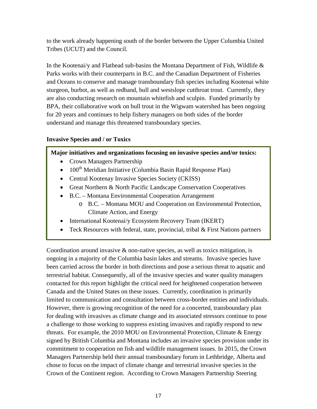to the work already happening south of the border between the Upper Columbia United Tribes (UCUT) and the Council.

In the Kootenai/y and Flathead sub-basins the Montana Department of Fish, Wildlife & Parks works with their counterparts in B.C. and the Canadian Department of Fisheries and Oceans to conserve and manage transboundary fish species including Kootenai white sturgeon, burbot, as well as redband, bull and westslope cutthroat trout. Currently, they are also conducting research on mountain whitefish and sculpin. Funded primarily by BPA, their collaborative work on bull trout in the Wigwam watershed has been ongoing for 20 years and continues to help fishery managers on both sides of the border understand and manage this threatened transboundary species.

# **Invasive Species and / or Toxics**

# **Major initiatives and organizations focusing on invasive species and/or toxics:**

- Crown Managers Partnership
- $100<sup>th</sup>$  Meridian Initiative (Columbia Basin Rapid Response Plan)
- Central Kootenay Invasive Species Society (CKISS)
- Great Northern & North Pacific Landscape Conservation Cooperatives
- B.C. Montana Environmental Cooperation Arrangement
	- o B.C. Montana MOU and Cooperation on Environmental Protection, Climate Action, and Energy
- International Kootenai/y Ecosystem Recovery Team (IKERT)
- Teck Resources with federal, state, provincial, tribal & First Nations partners

Coordination around invasive  $\&$  non-native species, as well as toxics mitigation, is ongoing in a majority of the Columbia basin lakes and streams. Invasive species have been carried across the border in both directions and pose a serious threat to aquatic and terrestrial habitat. Consequently, all of the invasive species and water quality managers contacted for this report highlight the critical need for heightened cooperation between Canada and the United States on these issues. Currently, coordination is primarily limited to communication and consultation between cross-border entities and individuals. However, there is growing recognition of the need for a concerted, transboundary plan for dealing with invasives as climate change and its associated stressors continue to pose a challenge to those working to suppress existing invasives and rapidly respond to new threats. For example, the 2010 MOU on Environmental Protection, Climate & Energy signed by British Columbia and Montana includes an invasive species provision under its commitment to cooperation on fish and wildlife management issues. In 2015, the Crown Managers Partnership held their annual transboundary forum in Lethbridge, Alberta and chose to focus on the impact of climate change and terrestrial invasive species in the Crown of the Continent region. According to Crown Managers Partnership Steering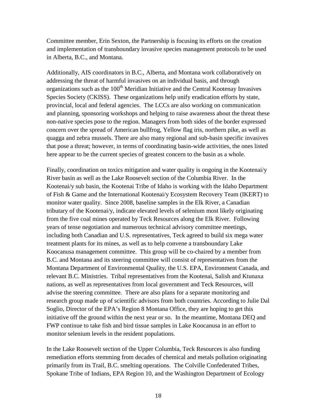Committee member, Erin Sexton, the Partnership is focusing its efforts on the creation and implementation of transboundary invasive species management protocols to be used in Alberta, B.C., and Montana.

Additionally, AIS coordinators in B.C., Alberta, and Montana work collaboratively on addressing the threat of harmful invasives on an individual basis, and through organizations such as the  $100<sup>th</sup>$  Meridian Initiative and the Central Kootenay Invasives Species Society (CKISS). These organizations help unify eradication efforts by state, provincial, local and federal agencies. The LCCs are also working on communication and planning, sponsoring workshops and helping to raise awareness about the threat these non-native species pose to the region. Managers from both sides of the border expressed concern over the spread of American bullfrog, Yellow flag iris, northern pike, as well as quagga and zebra mussels. There are also many regional and sub-basin specific invasives that pose a threat; however, in terms of coordinating basin-wide activities, the ones listed here appear to be the current species of greatest concern to the basin as a whole.

Finally, coordination on toxics mitigation and water quality is ongoing in the Kootenai/y River basin as well as the Lake Roosevelt section of the Columbia River. In the Kootenai/y sub basin, the Kootenai Tribe of Idaho is working with the Idaho Department of Fish & Game and the International Kootenai/y Ecosystem Recovery Team (IKERT) to monitor water quality. Since 2008, baseline samples in the Elk River, a Canadian tributary of the Kootenai/y, indicate elevated levels of selenium most likely originating from the five coal mines operated by Teck Resources along the Elk River. Following years of tense negotiation and numerous technical advisory committee meetings, including both Canadian and U.S. representatives, Teck agreed to build six mega water treatment plants for its mines, as well as to help convene a transboundary Lake Koocanusa management committee. This group will be co-chaired by a member from B.C. and Montana and its steering committee will consist of representatives from the Montana Department of Environmental Quality, the U.S. EPA, Environment Canada, and relevant B.C. Ministries. Tribal representatives from the Kootenai, Salish and Ktunaxa nations, as well as representatives from local government and Teck Resources, will advise the steering committee. There are also plans for a separate monitoring and research group made up of scientific advisors from both countries. According to Julie Dal Soglio, Director of the EPA's Region 8 Montana Office, they are hoping to get this initiative off the ground within the next year or so. In the meantime, Montana DEQ and FWP continue to take fish and bird tissue samples in Lake Koocanusa in an effort to monitor selenium levels in the resident populations.

In the Lake Roosevelt section of the Upper Columbia, Teck Resources is also funding remediation efforts stemming from decades of chemical and metals pollution originating primarily from its Trail, B.C. smelting operations. The Colville Confederated Tribes, Spokane Tribe of Indians, EPA Region 10, and the Washington Department of Ecology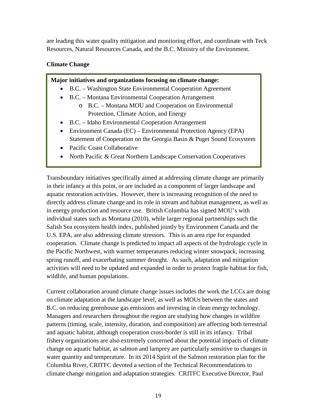are leading this water quality mitigation and monitoring effort, and coordinate with Teck Resources, Natural Resources Canada, and the B.C. Ministry of the Environment.

# **Climate Change**

### **Major initiatives and organizations focusing on climate change:**

- B.C. Washington State Environmental Cooperation Agreement
- B.C. Montana Environmental Cooperation Arrangement
	- o B.C. Montana MOU and Cooperation on Environmental Protection, Climate Action, and Energy
- B.C. Idaho Environmental Cooperation Arrangement
- Environment Canada (EC) Environmental Protection Agency (EPA) Statement of Cooperation on the Georgia Basin & Puget Sound Ecosystem
- Pacific Coast Collaborative
- North Pacific & Great Northern Landscape Conservation Cooperatives

Transboundary initiatives specifically aimed at addressing climate change are primarily in their infancy at this point, or are included as a component of larger landscape and aquatic restoration activities. However, there is increasing recognition of the need to directly address climate change and its role in stream and habitat management, as well as in energy production and resource use. British Columbia has signed MOU's with individual states such as Montana (2010), while larger regional partnerships such the Salish Sea ecosystem health index, published jointly by Environment Canada and the U.S. EPA, are also addressing climate stressors. This is an area ripe for expanded cooperation. Climate change is predicted to impact all aspects of the hydrologic cycle in the Pacific Northwest, with warmer temperatures reducing winter snowpack, increasing spring runoff, and exacerbating summer drought. As such, adaptation and mitigation activities will need to be updated and expanded in order to protect fragile habitat for fish, wildlife, and human populations.

Current collaboration around climate change issues includes the work the LCCs are doing on climate adaptation at the landscape level, as well as MOUs between the states and B.C. on reducing greenhouse gas emissions and investing in clean energy technology. Managers and researchers throughout the region are studying how changes in wildfire patterns (timing, scale, intensity, duration, and composition) are affecting both terrestrial and aquatic habitat, although cooperation cross-border is still in its infancy. Tribal fishery organizations are also extremely concerned about the potential impacts of climate change on aquatic habitat, as salmon and lamprey are particularly sensitive to changes in water quantity and temperature. In its 2014 Spirit of the Salmon restoration plan for the Columbia River, CRITFC devoted a section of the Technical Recommendations to climate change mitigation and adaptation strategies. CRITFC Executive Director, Paul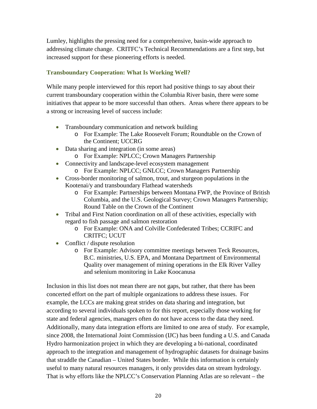Lumley, highlights the pressing need for a comprehensive, basin-wide approach to addressing climate change. CRITFC's Technical Recommendations are a first step, but increased support for these pioneering efforts is needed.

# **Transboundary Cooperation: What Is Working Well?**

While many people interviewed for this report had positive things to say about their current transboundary cooperation within the Columbia River basin, there were some initiatives that appear to be more successful than others. Areas where there appears to be a strong or increasing level of success include:

- Transboundary communication and network building
	- o For Example: The Lake Roosevelt Forum; Roundtable on the Crown of the Continent; UCCRG
- Data sharing and integration (in some areas)
	- o For Example: NPLCC; Crown Managers Partnership
- Connectivity and landscape-level ecosystem management
	- o For Example: NPLCC; GNLCC; Crown Managers Partnership
- Cross-border monitoring of salmon, trout, and sturgeon populations in the Kootenai/y and transboundary Flathead watersheds
	- o For Example: Partnerships between Montana FWP, the Province of British Columbia, and the U.S. Geological Survey; Crown Managers Partnership; Round Table on the Crown of the Continent
- Tribal and First Nation coordination on all of these activities, especially with regard to fish passage and salmon restoration
	- o For Example: ONA and Colville Confederated Tribes; CCRIFC and CRITFC; UCUT
- Conflict / dispute resolution
	- o For Example: Advisory committee meetings between Teck Resources, B.C. ministries, U.S. EPA, and Montana Department of Environmental Quality over management of mining operations in the Elk River Valley and selenium monitoring in Lake Koocanusa

Inclusion in this list does not mean there are not gaps, but rather, that there has been concerted effort on the part of multiple organizations to address these issues. For example, the LCCs are making great strides on data sharing and integration, but according to several individuals spoken to for this report, especially those working for state and federal agencies, managers often do not have access to the data they need. Additionally, many data integration efforts are limited to one area of study. For example, since 2008, the International Joint Commission (IJC) has been funding a U.S. and Canada Hydro harmonization project in which they are developing a bi-national, coordinated approach to the integration and management of hydrographic datasets for drainage basins that straddle the Canadian – United States border. While this information is certainly useful to many natural resources managers, it only provides data on stream hydrology. That is why efforts like the NPLCC's Conservation Planning Atlas are so relevant – the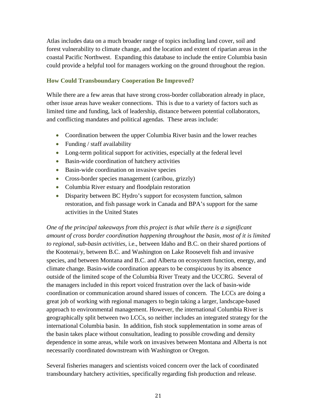Atlas includes data on a much broader range of topics including land cover, soil and forest vulnerability to climate change, and the location and extent of riparian areas in the coastal Pacific Northwest. Expanding this database to include the entire Columbia basin could provide a helpful tool for managers working on the ground throughout the region.

### **How Could Transboundary Cooperation Be Improved?**

While there are a few areas that have strong cross-border collaboration already in place, other issue areas have weaker connections. This is due to a variety of factors such as limited time and funding, lack of leadership, distance between potential collaborators, and conflicting mandates and political agendas. These areas include:

- Coordination between the upper Columbia River basin and the lower reaches
- Funding / staff availability
- Long-term political support for activities, especially at the federal level
- Basin-wide coordination of hatchery activities
- Basin-wide coordination on invasive species
- Cross-border species management (caribou, grizzly)
- Columbia River estuary and floodplain restoration
- Disparity between BC Hydro's support for ecosystem function, salmon restoration, and fish passage work in Canada and BPA's support for the same activities in the United States

*One of the principal takeaways from this project is that while there is a significant amount of cross border coordination happening throughout the basin, most of it is limited to regional, sub-basin activities*, i.e., between Idaho and B.C. on their shared portions of the Kootenai/y, between B.C. and Washington on Lake Roosevelt fish and invasive species, and between Montana and B.C. and Alberta on ecosystem function, energy, and climate change. Basin-wide coordination appears to be conspicuous by its absence outside of the limited scope of the Columbia River Treaty and the UCCRG. Several of the managers included in this report voiced frustration over the lack of basin-wide coordination or communication around shared issues of concern. The LCCs are doing a great job of working with regional managers to begin taking a larger, landscape-based approach to environmental management. However, the international Columbia River is geographically split between two LCCs, so neither includes an integrated strategy for the international Columbia basin. In addition, fish stock supplementation in some areas of the basin takes place without consultation, leading to possible crowding and density dependence in some areas, while work on invasives between Montana and Alberta is not necessarily coordinated downstream with Washington or Oregon.

Several fisheries managers and scientists voiced concern over the lack of coordinated transboundary hatchery activities, specifically regarding fish production and release.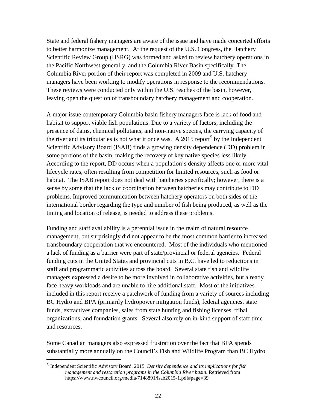State and federal fishery managers are aware of the issue and have made concerted efforts to better harmonize management. At the request of the U.S. Congress, the Hatchery Scientific Review Group (HSRG) was formed and asked to review hatchery operations in the Pacific Northwest generally, and the Columbia River Basin specifically. The Columbia River portion of their report was completed in 2009 and U.S. hatchery managers have been working to modify operations in response to the recommendations. These reviews were conducted only within the U.S. reaches of the basin, however, leaving open the question of transboundary hatchery management and cooperation.

A major issue contemporary Columbia basin fishery managers face is lack of food and habitat to support viable fish populations. Due to a variety of factors, including the presence of dams, chemical pollutants, and non-native species, the carrying capacity of the river and its tributaries is not what it once was. A 201[5](#page-21-0) report<sup>5</sup> by the Independent Scientific Advisory Board (ISAB) finds a growing density dependence (DD) problem in some portions of the basin, making the recovery of key native species less likely. According to the report, DD occurs when a population's density affects one or more vital lifecycle rates, often resulting from competition for limited resources, such as food or habitat. The ISAB report does not deal with hatcheries specifically; however, there is a sense by some that the lack of coordination between hatcheries may contribute to DD problems. Improved communication between hatchery operators on both sides of the international border regarding the type and number of fish being produced, as well as the timing and location of release, is needed to address these problems.

Funding and staff availability is a perennial issue in the realm of natural resource management, but surprisingly did not appear to be the most common barrier to increased transboundary cooperation that we encountered. Most of the individuals who mentioned a lack of funding as a barrier were part of state/provincial or federal agencies. Federal funding cuts in the United States and provincial cuts in B.C. have led to reductions in staff and programmatic activities across the board. Several state fish and wildlife managers expressed a desire to be more involved in collaborative activities, but already face heavy workloads and are unable to hire additional staff. Most of the initiatives included in this report receive a patchwork of funding from a variety of sources including BC Hydro and BPA (primarily hydropower mitigation funds), federal agencies, state funds, extractives companies, sales from state hunting and fishing licenses, tribal organizations, and foundation grants. Several also rely on in-kind support of staff time and resources.

Some Canadian managers also expressed frustration over the fact that BPA spends substantially more annually on the Council's Fish and Wildlife Program than BC Hydro

<span id="page-21-0"></span> <sup>5</sup> Independent Scientific Advisory Board. 2015. *Density dependence and its implications for fish management and restoration programs in the Columbia River basin*. Retrieved from https://www.nwcouncil.org/media/7148891/isab2015-1.pdf#page=39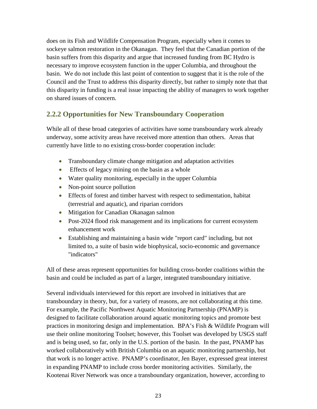does on its Fish and Wildlife Compensation Program, especially when it comes to sockeye salmon restoration in the Okanagan. They feel that the Canadian portion of the basin suffers from this disparity and argue that increased funding from BC Hydro is necessary to improve ecosystem function in the upper Columbia, and throughout the basin. We do not include this last point of contention to suggest that it is the role of the Council and the Trust to address this disparity directly, but rather to simply note that that this disparity in funding is a real issue impacting the ability of managers to work together on shared issues of concern.

# **2.2.2 Opportunities for New Transboundary Cooperation**

While all of these broad categories of activities have some transboundary work already underway, some activity areas have received more attention than others. Areas that currently have little to no existing cross-border cooperation include:

- Transboundary climate change mitigation and adaptation activities
- Effects of legacy mining on the basin as a whole
- Water quality monitoring, especially in the upper Columbia
- Non-point source pollution
- Effects of forest and timber harvest with respect to sedimentation, habitat (terrestrial and aquatic), and riparian corridors
- Mitigation for Canadian Okanagan salmon
- Post-2024 flood risk management and its implications for current ecosystem enhancement work
- Establishing and maintaining a basin wide "report card" including, but not limited to, a suite of basin wide biophysical, socio-economic and governance "indicators"

All of these areas represent opportunities for building cross-border coalitions within the basin and could be included as part of a larger, integrated transboundary initiative.

Several individuals interviewed for this report are involved in initiatives that are transboundary in theory, but, for a variety of reasons, are not collaborating at this time. For example, the Pacific Northwest Aquatic Monitoring Partnership (PNAMP) is designed to facilitate collaboration around aquatic monitoring topics and promote best practices in monitoring design and implementation. BPA's Fish & Wildlife Program will use their online monitoring Toolset; however, this Toolset was developed by USGS staff and is being used, so far, only in the U.S. portion of the basin. In the past, PNAMP has worked collaboratively with British Columbia on an aquatic monitoring partnership, but that work is no longer active. PNAMP's coordinator, Jen Bayer, expressed great interest in expanding PNAMP to include cross border monitoring activities. Similarly, the Kootenai River Network was once a transboundary organization, however, according to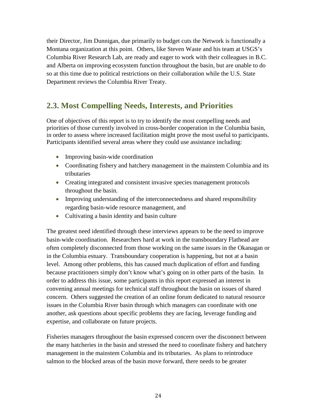their Director, Jim Dunnigan, due primarily to budget cuts the Network is functionally a Montana organization at this point. Others, like Steven Waste and his team at USGS's Columbia River Research Lab, are ready and eager to work with their colleagues in B.C. and Alberta on improving ecosystem function throughout the basin, but are unable to do so at this time due to political restrictions on their collaboration while the U.S. State Department reviews the Columbia River Treaty.

# **2.3. Most Compelling Needs, Interests, and Priorities**

One of objectives of this report is to try to identify the most compelling needs and priorities of those currently involved in cross-border cooperation in the Columbia basin, in order to assess where increased facilitation might prove the most useful to participants. Participants identified several areas where they could use assistance including:

- Improving basin-wide coordination
- Coordinating fishery and hatchery management in the mainstem Columbia and its tributaries
- Creating integrated and consistent invasive species management protocols throughout the basin.
- Improving understanding of the interconnectedness and shared responsibility regarding basin-wide resource management, and
- Cultivating a basin identity and basin culture

The greatest need identified through these interviews appears to be the need to improve basin-wide coordination. Researchers hard at work in the transboundary Flathead are often completely disconnected from those working on the same issues in the Okanagan or in the Columbia estuary. Transboundary cooperation is happening, but not at a basin level. Among other problems, this has caused much duplication of effort and funding because practitioners simply don't know what's going on in other parts of the basin. In order to address this issue, some participants in this report expressed an interest in convening annual meetings for technical staff throughout the basin on issues of shared concern. Others suggested the creation of an online forum dedicated to natural resource issues in the Columbia River basin through which managers can coordinate with one another, ask questions about specific problems they are facing, leverage funding and expertise, and collaborate on future projects.

Fisheries managers throughout the basin expressed concern over the disconnect between the many hatcheries in the basin and stressed the need to coordinate fishery and hatchery management in the mainstem Columbia and its tributaries. As plans to reintroduce salmon to the blocked areas of the basin move forward, there needs to be greater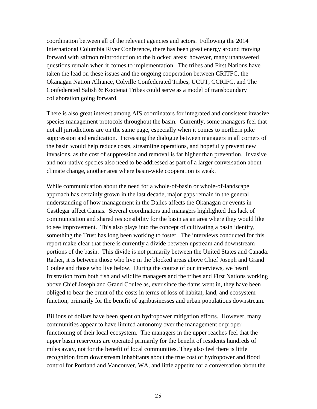coordination between all of the relevant agencies and actors. Following the 2014 International Columbia River Conference, there has been great energy around moving forward with salmon reintroduction to the blocked areas; however, many unanswered questions remain when it comes to implementation. The tribes and First Nations have taken the lead on these issues and the ongoing cooperation between CRITFC, the Okanagan Nation Alliance, Colville Confederated Tribes, UCUT, CCRIFC, and The Confederated Salish & Kootenai Tribes could serve as a model of transboundary collaboration going forward.

There is also great interest among AIS coordinators for integrated and consistent invasive species management protocols throughout the basin. Currently, some managers feel that not all jurisdictions are on the same page, especially when it comes to northern pike suppression and eradication. Increasing the dialogue between managers in all corners of the basin would help reduce costs, streamline operations, and hopefully prevent new invasions, as the cost of suppression and removal is far higher than prevention. Invasive and non-native species also need to be addressed as part of a larger conversation about climate change, another area where basin-wide cooperation is weak.

While communication about the need for a whole-of-basin or whole-of-landscape approach has certainly grown in the last decade, major gaps remain in the general understanding of how management in the Dalles affects the Okanagan or events in Castlegar affect Camas. Several coordinators and managers highlighted this lack of communication and shared responsibility for the basin as an area where they would like to see improvement. This also plays into the concept of cultivating a basin identity, something the Trust has long been working to foster. The interviews conducted for this report make clear that there is currently a divide between upstream and downstream portions of the basin. This divide is not primarily between the United States and Canada. Rather, it is between those who live in the blocked areas above Chief Joseph and Grand Coulee and those who live below. During the course of our interviews, we heard frustration from both fish and wildlife managers and the tribes and First Nations working above Chief Joseph and Grand Coulee as, ever since the dams went in, they have been obliged to bear the brunt of the costs in terms of loss of habitat, land, and ecosystem function, primarily for the benefit of agribusinesses and urban populations downstream.

Billions of dollars have been spent on hydropower mitigation efforts. However, many communities appear to have limited autonomy over the management or proper functioning of their local ecosystem. The managers in the upper reaches feel that the upper basin reservoirs are operated primarily for the benefit of residents hundreds of miles away, not for the benefit of local communities. They also feel there is little recognition from downstream inhabitants about the true cost of hydropower and flood control for Portland and Vancouver, WA, and little appetite for a conversation about the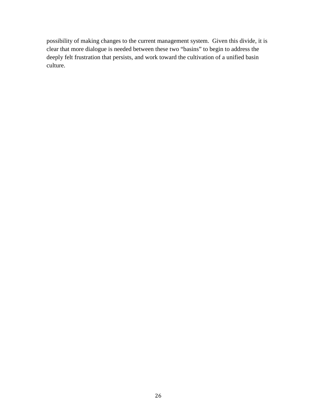possibility of making changes to the current management system. Given this divide, it is clear that more dialogue is needed between these two "basins" to begin to address the deeply felt frustration that persists, and work toward the cultivation of a unified basin culture.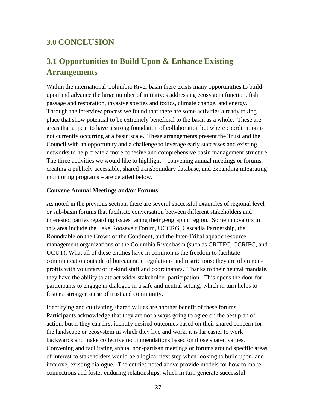# **3.0 CONCLUSION**

# **3.1 Opportunities to Build Upon & Enhance Existing Arrangements**

Within the international Columbia River basin there exists many opportunities to build upon and advance the large number of initiatives addressing ecosystem function, fish passage and restoration, invasive species and toxics, climate change, and energy. Through the interview process we found that there are some activities already taking place that show potential to be extremely beneficial to the basin as a whole. These are areas that appear to have a strong foundation of collaboration but where coordination is not currently occurring at a basin scale. These arrangements present the Trust and the Council with an opportunity and a challenge to leverage early successes and existing networks to help create a more cohesive and comprehensive basin management structure. The three activities we would like to highlight – convening annual meetings or forums, creating a publicly accessible, shared transboundary database, and expanding integrating monitoring programs – are detailed below.

#### **Convene Annual Meetings and/or Forums**

As noted in the previous section, there are several successful examples of regional level or sub-basin forums that facilitate conversation between different stakeholders and interested parties regarding issues facing their geographic region. Some innovators in this area include the Lake Roosevelt Forum, UCCRG, Cascadia Partnership, the Roundtable on the Crown of the Continent, and the Inter-Tribal aquatic resource management organizations of the Columbia River basin (such as CRITFC, CCRIFC, and UCUT). What all of these entities have in common is the freedom to facilitate communication outside of bureaucratic regulations and restrictions; they are often nonprofits with voluntary or in-kind staff and coordinators. Thanks to their neutral mandate, they have the ability to attract wider stakeholder participation. This opens the door for participants to engage in dialogue in a safe and neutral setting, which in turn helps to foster a stronger sense of trust and community.

Identifying and cultivating shared values are another benefit of these forums. Participants acknowledge that they are not always going to agree on the best plan of action, but if they can first identify desired outcomes based on their shared concern for the landscape or ecosystem in which they live and work, it is far easier to work backwards and make collective recommendations based on those shared values. Convening and facilitating annual non-partisan meetings or forums around specific areas of interest to stakeholders would be a logical next step when looking to build upon, and improve, existing dialogue. The entities noted above provide models for how to make connections and foster enduring relationships, which in turn generate successful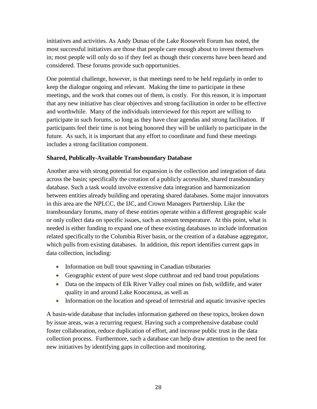initiatives and activities. As Andy Dunau of the Lake Roosevelt Forum has noted, the most successful initiatives are those that people care enough about to invest themselves in; most people will only do so if they feel as though their concerns have been heard and considered. These forums provide such opportunities.

One potential challenge, however, is that meetings need to be held regularly in order to keep the dialogue ongoing and relevant. Making the time to participate in these meetings, and the work that comes out of them, is costly. For this reason, it is important that any new initiative has clear objectives and strong facilitation in order to be effective and worthwhile. Many of the individuals interviewed for this report are willing to participate in such forums, so long as they have clear agendas and strong facilitation. If participants feel their time is not being honored they will be unlikely to participate in the future. As such, it is important that any effort to coordinate and fund these meetings includes a strong facilitation component.

# **Shared, Publically-Available Transboundary Database**

Another area with strong potential for expansion is the collection and integration of data across the basin; specifically the creation of a publicly accessible, shared transboundary database. Such a task would involve extensive data integration and harmonization between entities already building and operating shared databases. Some major innovators in this area are the NPLCC, the IJC, and Crown Managers Partnership. Like the transboundary forums, many of these entities operate within a different geographic scale or only collect data on specific issues, such as stream temperature. At this point, what is needed is either funding to expand one of these existing databases to include information related specifically to the Columbia River basin, or the creation of a database aggregator, which pulls from existing databases. In addition, this report identifies current gaps in data collection, including:

- Information on bull trout spawning in Canadian tributaries
- Geographic extent of pure west slope cutthroat and red band trout populations
- Data on the impacts of Elk River Valley coal mines on fish, wildlife, and water quality in and around Lake Koocanusa, as well as
- Information on the location and spread of terrestrial and aquatic invasive species

A basin-wide database that includes information gathered on these topics, broken down by issue areas, was a recurring request. Having such a comprehensive database could foster collaboration, reduce duplication of effort, and increase public trust in the data collection process. Furthermore, such a database can help draw attention to the need for new initiatives by identifying gaps in collection and monitoring.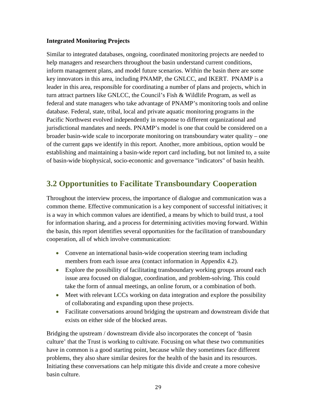# **Integrated Monitoring Projects**

Similar to integrated databases, ongoing, coordinated monitoring projects are needed to help managers and researchers throughout the basin understand current conditions, inform management plans, and model future scenarios. Within the basin there are some key innovators in this area, including PNAMP, the GNLCC, and IKERT. PNAMP is a leader in this area, responsible for coordinating a number of plans and projects, which in turn attract partners like GNLCC, the Council's Fish & Wildlife Program, as well as federal and state managers who take advantage of PNAMP's monitoring tools and online database. Federal, state, tribal, local and private aquatic monitoring programs in the Pacific Northwest evolved independently in response to different organizational and jurisdictional mandates and needs. PNAMP's model is one that could be considered on a broader basin-wide scale to incorporate monitoring on transboundary water quality – one of the current gaps we identify in this report. Another, more ambitious, option would be establishing and maintaining a basin-wide report card including, but not limited to, a suite of basin-wide biophysical, socio-economic and governance "indicators" of basin health.

# **3.2 Opportunities to Facilitate Transboundary Cooperation**

Throughout the interview process, the importance of dialogue and communication was a common theme. Effective communication is a key component of successful initiatives; it is a way in which common values are identified, a means by which to build trust, a tool for information sharing, and a process for determining activities moving forward. Within the basin, this report identifies several opportunities for the facilitation of transboundary cooperation, all of which involve communication:

- Convene an international basin-wide cooperation steering team including members from each issue area (contact information in Appendix 4.2).
- Explore the possibility of facilitating transboundary working groups around each issue area focused on dialogue, coordination, and problem-solving. This could take the form of annual meetings, an online forum, or a combination of both.
- Meet with relevant LCCs working on data integration and explore the possibility of collaborating and expanding upon these projects.
- Facilitate conversations around bridging the upstream and downstream divide that exists on either side of the blocked areas.

Bridging the upstream / downstream divide also incorporates the concept of 'basin culture' that the Trust is working to cultivate. Focusing on what these two communities have in common is a good starting point, because while they sometimes face different problems, they also share similar desires for the health of the basin and its resources. Initiating these conversations can help mitigate this divide and create a more cohesive basin culture.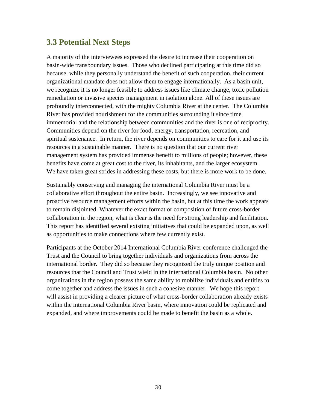# **3.3 Potential Next Steps**

A majority of the interviewees expressed the desire to increase their cooperation on basin-wide transboundary issues. Those who declined participating at this time did so because, while they personally understand the benefit of such cooperation, their current organizational mandate does not allow them to engage internationally. As a basin unit, we recognize it is no longer feasible to address issues like climate change, toxic pollution remediation or invasive species management in isolation alone. All of these issues are profoundly interconnected, with the mighty Columbia River at the center. The Columbia River has provided nourishment for the communities surrounding it since time immemorial and the relationship between communities and the river is one of reciprocity. Communities depend on the river for food, energy, transportation, recreation, and spiritual sustenance. In return, the river depends on communities to care for it and use its resources in a sustainable manner. There is no question that our current river management system has provided immense benefit to millions of people; however, these benefits have come at great cost to the river, its inhabitants, and the larger ecosystem. We have taken great strides in addressing these costs, but there is more work to be done.

Sustainably conserving and managing the international Columbia River must be a collaborative effort throughout the entire basin. Increasingly, we see innovative and proactive resource management efforts within the basin, but at this time the work appears to remain disjointed. Whatever the exact format or composition of future cross-border collaboration in the region, what is clear is the need for strong leadership and facilitation. This report has identified several existing initiatives that could be expanded upon, as well as opportunities to make connections where few currently exist.

Participants at the October 2014 International Columbia River conference challenged the Trust and the Council to bring together individuals and organizations from across the international border. They did so because they recognized the truly unique position and resources that the Council and Trust wield in the international Columbia basin. No other organizations in the region possess the same ability to mobilize individuals and entities to come together and address the issues in such a cohesive manner. We hope this report will assist in providing a clearer picture of what cross-border collaboration already exists within the international Columbia River basin, where innovation could be replicated and expanded, and where improvements could be made to benefit the basin as a whole.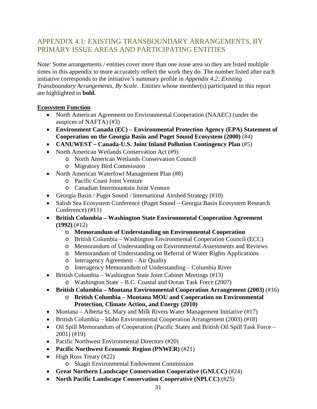# APPENDIX 4.1: EXISTING TRANSBOUNDARY ARRANGEMENTS, BY PRIMARY ISSUE AREAS AND PARTICIPATING ENTITIES

Note: Some arrangements / entities cover more than one issue area so they are listed multiple times in this appendix to more accurately reflect the work they do. The number listed after each initiative corresponds to the initiative's summary profile in *Appendix 4.2: Existing Transboundary Arrangements, By Scale*. Entities whose member(s) participated in this report are highlighted in **bold**.

# **Ecosystem Function**

- North American Agreement on Environmental Cooperation (NAAEC) (under the auspices of NAFTA) (#3)
- **Environment Canada (EC) – Environmental Protection Agency (EPA) Statement of Cooperation on the Georgia Basin and Puget Sound Ecosystem (2000)** (#4)
- **CANUWEST – Canada-U.S. Joint Inland Pollution Contingency Plan** (#5)
- North American Wetlands Conservation Act (#9)
	- o North American Wetlands Conservation Council
	- o Migratory Bird Commission
- North American Waterfowl Management Plan (#8)
	- o Pacific Coast Joint Venture
	- o Canadian Intermountain Joint Venture
- Georgia Basin / Puget Sound / International Airshed Strategy (#10)
- Salish Sea Ecosystem Conference (Puget Sound Georgia Basin Ecosystem Research Conference) (#11)
- **British Columbia – Washington State Environmental Cooperation Agreement (1992)** (#12)
	- o **Memorandum of Understanding on Environmental Cooperation**
	- o British Columbia Washington Environmental Cooperation Council (ECC)
	- o Memorandum of Understanding on Environmental Assessments and Reviews
	- o Memorandum of Understanding on Referral of Water Rights Applications
	- o Interagency Agreement Air Quality
	- o Interagency Memorandum of Understanding Columbia River
- British Columbia Washington State Joint Cabinet Meetings (#13)
	- o Washington State B.C. Coastal and Ocean Task Force (2007)

• **British Columbia – Montana Environmental Cooperation Arrangement (2003)** (#16)

- o **British Columbia – Montana MOU and Cooperation on Environmental Protection, Climate Action, and Energy (2010)**
- Montana Alberta St. Mary and Milk Rivers Water Management Initiative (#17)
- British Columbia Idaho Environmental Cooperation Arrangement (2003) (#18)
- Oil Spill Memorandum of Cooperation (Pacific States and British Oil Spill Task Force 2001) (#19)
- Pacific Northwest Environmental Directors (#20)
- **Pacific Northwest Economic Region (PNWER)** (#21)
- High Ross Treaty  $(#22)$ 
	- o Skagit Environmental Endowment Commission
- **Great Northern Landscape Conservation Cooperative (GNLCC)** (#24)
- **North Pacific Landscape Conservation Cooperative (NPLCC)** (#25)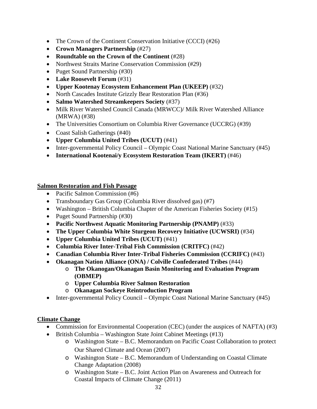- The Crown of the Continent Conservation Initiative (CCCI) (#26)
- **Crown Managers Partnership** (#27)
- **Roundtable on the Crown of the Continent** (#28)
- Northwest Straits Marine Conservation Commission (#29)
- Puget Sound Partnership (#30)
- **Lake Roosevelt Forum** (#31)
- **Upper Kootenay Ecosystem Enhancement Plan (UKEEP)** (#32)
- North Cascades Institute Grizzly Bear Restoration Plan (#36)
- **Salmo Watershed Streamkeepers Society** (#37)
- Milk River Watershed Council Canada (MRWCC)/ Milk River Watershed Alliance (MRWA) (#38)
- The Universities Consortium on Columbia River Governance (UCCRG) (#39)
- Coast Salish Gatherings (#40)
- **Upper Columbia United Tribes (UCUT)** (#41)
- Inter-governmental Policy Council Olympic Coast National Marine Sanctuary (#45)
- **International Kootenai/y Ecosystem Restoration Team (IKERT)** (#46)

### **Salmon Restoration and Fish Passage**

- Pacific Salmon Commission (#6)
- Transboundary Gas Group (Columbia River dissolved gas) (#7)
- Washington British Columbia Chapter of the American Fisheries Society (#15)
- Puget Sound Partnership (#30)
- **Pacific Northwest Aquatic Monitoring Partnership (PNAMP)** (#33)
- **The Upper Columbia White Sturgeon Recovery Initiative (UCWSRI)** (#34)
- **Upper Columbia United Tribes (UCUT)** (#41)
- **Columbia River Inter-Tribal Fish Commission (CRITFC)** (#42)
- **Canadian Columbia River Inter-Tribal Fisheries Commission (CCRIFC)** (#43)
- **Okanagan Nation Alliance (ONA) / Colville Confederated Tribes** (#44)
	- o **The Okanogan/Okanagan Basin Monitoring and Evaluation Program (OBMEP)**
	- o **Upper Columbia River Salmon Restoration**
	- o **Okanagan Sockeye Reintroduction Program**
- Inter-governmental Policy Council Olympic Coast National Marine Sanctuary (#45)

# **Climate Change**

- Commission for Environmental Cooperation (CEC) (under the auspices of NAFTA) (#3)
- British Columbia Washington State Joint Cabinet Meetings (#13)
	- o Washington State B.C. Memorandum on Pacific Coast Collaboration to protect Our Shared Climate and Ocean (2007)
	- o Washington State B.C. Memorandum of Understanding on Coastal Climate Change Adaptation (2008)
	- o Washington State B.C. Joint Action Plan on Awareness and Outreach for Coastal Impacts of Climate Change (2011)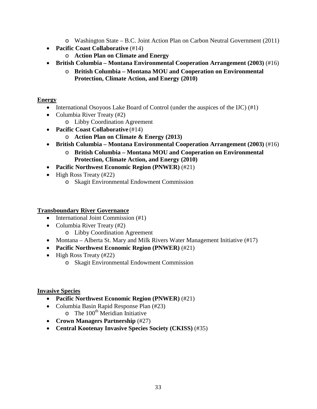- o Washington State B.C. Joint Action Plan on Carbon Neutral Government (2011)
- **Pacific Coast Collaborative** (#14)
	- o **Action Plan on Climate and Energy**
- **British Columbia – Montana Environmental Cooperation Arrangement (2003)** (#16)
	- o **British Columbia – Montana MOU and Cooperation on Environmental Protection, Climate Action, and Energy (2010)**

# **Energy**

- International Osoyoos Lake Board of Control (under the auspices of the IJC) (#1)
- Columbia River Treaty (#2)
	- o Libby Coordination Agreement
- **Pacific Coast Collaborative** (#14)
	- o **Action Plan on Climate & Energy (2013)**
- **British Columbia – Montana Environmental Cooperation Arrangement (2003)** (#16)
	- o **British Columbia – Montana MOU and Cooperation on Environmental Protection, Climate Action, and Energy (2010)**
- **Pacific Northwest Economic Region (PNWER)** (#21)
- High Ross Treaty (#22)
	- o Skagit Environmental Endowment Commission

# **Transboundary River Governance**

- International Joint Commission (#1)
- Columbia River Treaty (#2)
	- o Libby Coordination Agreement
- Montana Alberta St. Mary and Milk Rivers Water Management Initiative (#17)
- **Pacific Northwest Economic Region (PNWER)** (#21)
- High Ross Treaty (#22)
	- o Skagit Environmental Endowment Commission

# **Invasive Species**

- **Pacific Northwest Economic Region (PNWER)** (#21)
- Columbia Basin Rapid Response Plan (#23)  $\circ$  The 100<sup>th</sup> Meridian Initiative
- **Crown Managers Partnership** (#27)
- **Central Kootenay Invasive Species Society (CKISS)** (#35)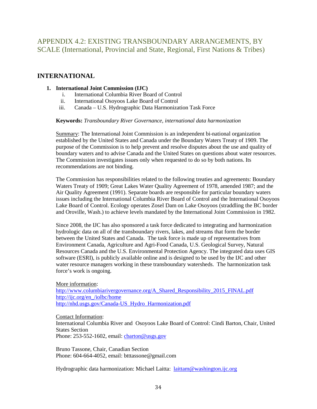# APPENDIX 4.2: EXISTING TRANSBOUNDARY ARRANGEMENTS, BY SCALE (International, Provincial and State, Regional, First Nations & Tribes)

# **INTERNATIONAL**

### **1. International Joint Commission (IJC)**

- i. International Columbia River Board of Control
- ii. International Osoyoos Lake Board of Control
- iii. Canada U.S. Hydrographic Data Harmonization Task Force

### **Keywords:** *Transboundary River Governance, international data harmonization*

Summary: The International Joint Commission is an independent bi-national organization established by the United States and Canada under the Boundary Waters Treaty of 1909. The purpose of the Commission is to help prevent and resolve disputes about the use and quality of boundary waters and to advise Canada and the United States on questions about water resources. The Commission investigates issues only when requested to do so by both nations. Its recommendations are not binding.

The Commission has responsibilities related to the following treaties and agreements: Boundary Waters Treaty of 1909; Great Lakes Water Quality Agreement of 1978, amended 1987; and the Air Quality Agreement (1991). Separate boards are responsible for particular boundary waters issues including the International Columbia River Board of Control and the International Osoyoos Lake Board of Control. Ecology operates Zosel Dam on Lake Osoyoos (straddling the BC border and Oroville, Wash.) to achieve levels mandated by the International Joint Commission in 1982.

Since 2008, the IJC has also sponsored a task force dedicated to integrating and harmonization hydrologic data on all of the transboundary rivers, lakes, and streams that form the border between the United States and Canada. The task force is made up of representatives from Environment Canada, Agriculture and Agri-Food Canada, U.S. Geological Survey, Natural Resources Canada and the U.S. Environmental Protection Agency. The integrated data uses GIS software (ESRI), is publicly available online and is designed to be used by the IJC and other water resource managers working in these transboundary watersheds. The harmonization task force's work is ongoing.

More information: [http://www.columbiarivergovernance.org/A\\_Shared\\_Responsibility\\_2015\\_FINAL.pdf](http://www.columbiarivergovernance.org/A_Shared_Responsibility_2015_FINAL.pdf) http://ijc.org/en\_/iolbc/home http://nhd.usgs.gov/Canada-US\_Hydro\_Harmonization.pdf

### Contact Information:

International Columbia River and Osoyoos Lake Board of Control: Cindi Barton, Chair, United States Section

Phone: 253-552-1602, email: [cbarton@usgs.gov](mailto:cbarton@usgs.gov)

Bruno Tassone, Chair, Canadian Section Phone: 604-664-4052, email: btttassone@gmail.com

Hydrographic data harmonization: Michael Laitta: *[laittam@washington.ijc.org](mailto:laittam@washington.ijc.org)*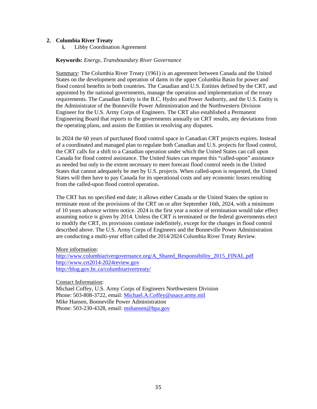#### **2. Columbia River Treaty**

**i.** Libby Coordination Agreement

#### **Keywords:** *Energy, Transboundary River Governance*

Summary: The Columbia River Treaty (1961) is an agreement between Canada and the United States on the development and operation of dams in the upper Columbia Basin for power and flood control benefits in both countries. The Canadian and U.S. Entities defined by the CRT, and appointed by the national governments, manage the operation and implementation of the treaty requirements. The Canadian Entity is the B.C. Hydro and Power Authority, and the U.S. Entity is the Administrator of the Bonneville Power Administration and the Northwestern Division Engineer for the U.S. Army Corps of Engineers. The CRT also established a Permanent Engineering Board that reports to the governments annually on CRT results, any deviations from the operating plans, and assists the Entities in resolving any disputes.

In 2024 the 60 years of purchased flood control space in Canadian CRT projects expires. Instead of a coordinated and managed plan to regulate both Canadian and U.S. projects for flood control, the CRT calls for a shift to a Canadian operation under which the United States can call upon Canada for flood control assistance. The United States can request this "called-upon" assistance as needed but only to the extent necessary to meet forecast flood control needs in the United States that cannot adequately be met by U.S. projects. When called-upon is requested, the United States will then have to pay Canada for its operational costs and any economic losses resulting from the called-upon flood control operation.

The CRT has no specified end date; it allows either Canada or the United States the option to terminate most of the provisions of the CRT on or after September 16th, 2024, with a minimum of 10 years advance written notice. 2024 is the first year a notice of termination would take effect assuming notice is given by 2014. Unless the CRT is terminated or the federal governments elect to modify the CRT, its provisions continue indefinitely, except for the changes in flood control described above. The U.S. Army Corps of Engineers and the Bonneville Power Administration are conducting a multi-year effort called the 2014/2024 Columbia River Treaty Review.

#### More information:

[http://www.columbiarivergovernance.org/A\\_Shared\\_Responsibility\\_2015\\_FINAL.pdf](http://www.columbiarivergovernance.org/A_Shared_Responsibility_2015_FINAL.pdf) [http://www.crt2014-2024review.gov](http://www.crt2014-2024review.gov/) <http://blog.gov.bc.ca/columbiarivertreaty/>

Contact Information: Michael Coffey, U.S. Army Corps of Engineers Northwestern Division Phone: 503-808-3722, email: [Michael.A.Coffey@usace.army.mil](mailto:Michael.A.Coffey@usace.army.mil) Mike Hansen, Bonneville Power Administration Phone: 503-230-4328, email: [mshansen@bpa.gov](mailto:mshansen@bpa.gov)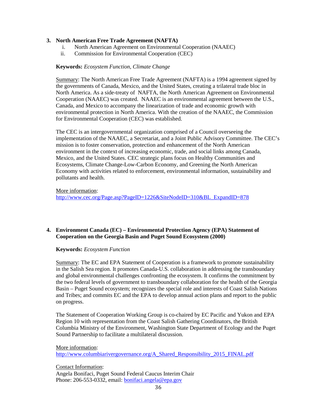#### **3. North American Free Trade Agreement (NAFTA)**

- i. North American Agreement on Environmental Cooperation (NAAEC)
- ii. Commission for Environmental Cooperation (CEC)

#### **Keywords:** *Ecosystem Function, Climate Change*

Summary: The North American Free Trade Agreement (NAFTA) is a 1994 agreement signed by the governments of Canada, Mexico, and the United States, creating a trilateral trade bloc in North America. As a side-treaty of NAFTA, the North American Agreement on Environmental Cooperation (NAAEC) was created. NAAEC is an environmental agreement between the U.S., Canada, and Mexico to accompany the linearization of trade and economic growth with environmental protection in North America. With the creation of the NAAEC, the Commission for Environmental Cooperation (CEC) was established.

The CEC is an intergovernmental organization comprised of a Council overseeing the implementation of the NAAEC, a Secretariat, and a Joint Public Advisory Committee. The CEC's mission is to foster conservation, protection and enhancement of the North American environment in the context of increasing economic, trade, and social links among Canada, Mexico, and the United States. CEC strategic plans focus on Healthy Communities and Ecosystems, Climate Change-Low-Carbon Economy, and Greening the North American Economy with activities related to enforcement, environmental information, sustainability and pollutants and health.

More information:

[http://www.cec.org/Page.asp?PageID=1226&SiteNodeID=310&BL\\_ExpandID=878](http://www.cec.org/Page.asp?PageID=1226&SiteNodeID=310&BL_ExpandID=878)

#### **4. Environment Canada (EC) – Environmental Protection Agency (EPA) Statement of Cooperation on the Georgia Basin and Puget Sound Ecosystem (2000)**

#### **Keywords:** *Ecosystem Function*

Summary: The EC and EPA Statement of Cooperation is a framework to promote sustainability in the Salish Sea region. It promotes Canada-U.S. collaboration in addressing the transboundary and global environmental challenges confronting the ecosystem. It confirms the commitment by the two federal levels of government to transboundary collaboration for the health of the Georgia Basin – Puget Sound ecosystem; recognizes the special role and interests of Coast Salish Nations and Tribes; and commits EC and the EPA to develop annual action plans and report to the public on progress.

The Statement of Cooperation Working Group is co-chaired by EC Pacific and Yukon and EPA Region 10 with representation from the Coast Salish Gathering Coordinators, the British Columbia Ministry of the Environment, Washington State Department of Ecology and the Puget Sound Partnership to facilitate a multilateral discussion.

More information: [http://www.columbiarivergovernance.org/A\\_Shared\\_Responsibility\\_2015\\_FINAL.pdf](http://www.columbiarivergovernance.org/A_Shared_Responsibility_2015_FINAL.pdf)

Contact Information: Angela Bonifaci, Puget Sound Federal Caucus Interim Chair Phone: 206-553-0332, email: [bonifaci.angela@epa.gov](mailto:bonifaci.angela@epa.gov)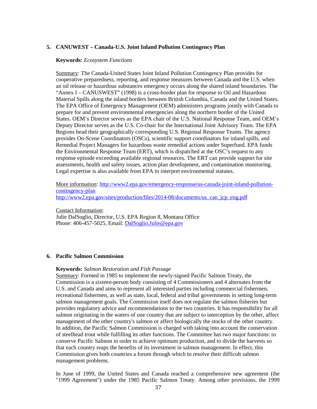#### **5. CANUWEST – Canada-U.S. Joint Inland Pollution Contingency Plan**

#### **Keywords:** *Ecosystem Functions*

Summary: The Canada-United States Joint Inland Pollution Contingency Plan provides for cooperative preparedness, reporting, and response measures between Canada and the U.S. when an oil release or hazardous substances emergency occurs along the shared inland boundaries. The "Annex I – CANUSWEST" (1998) is a cross-border plan for response to Oil and Hazardous Material Spills along the inland borders between British Columbia, Canada and the United States. The EPA Office of Emergency Management (OEM) administers programs jointly with Canada to prepare for and prevent environmental emergencies along the northern border of the United States. OEM's Director serves as the EPA chair of the U.S. National Response Team, and OEM's Deputy Director serves as the U.S. Co-chair for the International Joint Advisory Team. The EPA Regions head their geographically corresponding U.S. Regional Response Teams. The agency provides On-Scene Coordinators (OSCs), scientific support coordinators for inland spills, and Remedial Project Managers for hazardous waste remedial actions under Superfund. EPA funds the Environmental Response Team (ERT), which is dispatched at the OSC's request to any response episode exceeding available regional resources. The ERT can provide support for site assessments, health and safety issues, action plan development, and contamination monitoring. Legal expertise is also available from EPA to interpret environmental statutes.

More information: [http://www2.epa.gov/emergency-response/us-canada-joint-inland-pollution](http://www2.epa.gov/emergency-response/us-canada-joint-inland-pollution-contingency-plan)[contingency-plan](http://www2.epa.gov/emergency-response/us-canada-joint-inland-pollution-contingency-plan) http://www2.epa.gov/sites/production/files/2014-08/documents/us can jcp\_eng.pdf

Contact Information:

Julie DalSoglio, Director, U.S. EPA Region 8, Montana Office Phone: 406-457-5025, Email: [DalSoglio.Julie@epa.gov](mailto:DalSoglio.Julie@epa.gov)

#### **6. Pacific Salmon Commission**

#### **Keywords:** *Salmon Restoration and Fish Passage*

Summary: Formed in 1985 to implement the newly-signed Pacific Salmon Treaty, the Commission is a sixteen-person body consisting of 4 Commissioners and 4 alternates from the U.S. and Canada and aims to represent all interested parties including commercial fishermen, recreational fishermen, as well as state, local, federal and tribal governments in setting long-term salmon management goals. The Commission itself does not regulate the salmon fisheries but provides regulatory advice and recommendations to the two countries. It has responsibility for all salmon originating in the waters of one country that are subject to interception by the other, affect management of the other country's salmon or affect biologically the stocks of the other country. In addition, the Pacific Salmon Commission is charged with taking into account the conservation of steelhead trout while fulfilling its other functions. The Committee has two major functions: to conserve Pacific Salmon in order to achieve optimum production, and to divide the harvests so that each country reaps the benefits of its investment in salmon management. In effect, this Commission gives both countries a forum through which to resolve their difficult salmon management problems.

In June of 1999, the United States and Canada reached a comprehensive new agreement (the "1999 Agreement") under the 1985 Pacific Salmon Treaty. Among other provisions, the 1999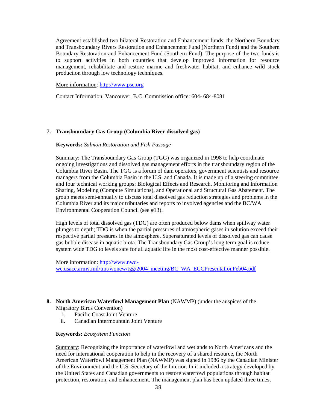Agreement established two bilateral Restoration and Enhancement funds: the Northern Boundary and Transboundary Rivers Restoration and Enhancement Fund (Northern Fund) and the Southern Boundary Restoration and Enhancement Fund (Southern Fund). The purpose of the two funds is to support activities in both countries that develop improved information for resource management, rehabilitate and restore marine and freshwater habitat, and enhance wild stock production through low technology techniques.

More information: [http://www.psc.org](http://www.psc.org/)

Contact Information: Vancouver, B.C. Commission office: 604- 684-8081

#### **7. Transboundary Gas Group (Columbia River dissolved gas)**

#### **Keywords:** *Salmon Restoration and Fish Passage*

Summary: The Transboundary Gas Group (TGG) was organized in 1998 to help coordinate ongoing investigations and dissolved gas management efforts in the transboundary region of the Columbia River Basin. The TGG is a forum of dam operators, government scientists and resource managers from the Columbia Basin in the U.S. and Canada. It is made up of a steering committee and four technical working groups: Biological Effects and Research, Monitoring and Information Sharing, Modeling (Compute Simulations), and Operational and Structural Gas Abatement. The group meets semi-annually to discuss total dissolved gas reduction strategies and problems in the Columbia River and its major tributaries and reports to involved agencies and the BC/WA Environmental Cooperation Council (see #13).

High levels of total dissolved gas (TDG) are often produced below dams when spillway water plunges to depth; TDG is when the partial pressures of atmospheric gases in solution exceed their respective partial pressures in the atmosphere. Supersaturated levels of dissolved gas can cause gas bubble disease in aquatic biota. The Transboundary Gas Group's long term goal is reduce system wide TDG to levels safe for all aquatic life in the most cost-effective manner possible.

More information: [http://www.nwd](http://www.nwd-wc.usace.army.mil/tmt/wqnew/tgg/2004_meeting/BC_WA_ECCPresentationFeb04.pdf)[wc.usace.army.mil/tmt/wqnew/tgg/2004\\_meeting/BC\\_WA\\_ECCPresentationFeb04.pdf](http://www.nwd-wc.usace.army.mil/tmt/wqnew/tgg/2004_meeting/BC_WA_ECCPresentationFeb04.pdf)

#### **8. North American Waterfowl Management Plan** (NAWMP) (under the auspices of the Migratory Birds Convention)

- i. Pacific Coast Joint Venture
- ii. Canadian Intermountain Joint Venture

#### **Keywords:** *Ecosystem Function*

Summary: Recognizing the importance of waterfowl and wetlands to North Americans and the need for international cooperation to help in the recovery of a shared resource, the North American Waterfowl Management Plan (NAWMP) was signed in 1986 by the Canadian Minister of the Environment and the U.S. Secretary of the Interior. In it included a strategy developed by the United States and Canadian governments to restore waterfowl populations through habitat protection, restoration, and enhancement. The management plan has been updated three times,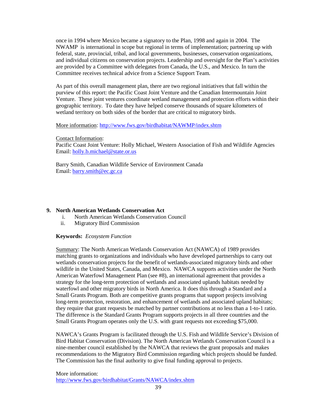once in 1994 where Mexico became a signatory to the Plan, 1998 and again in 2004. The NWAMP is international in scope but regional in terms of implementation; partnering up with federal, state, provincial, tribal, and local governments, businesses, conservation organizations, and individual citizens on conservation projects. Leadership and oversight for the Plan's activities are provided by a Committee with delegates from Canada, the U.S., and Mexico. In turn the Committee receives technical advice from a Science Support Team.

As part of this overall management plan, there are two regional initiatives that fall within the purview of this report: the Pacific Coast Joint Venture and the Canadian Intermountain Joint Venture. These joint ventures coordinate wetland management and protection efforts within their geographic territory. To date they have helped conserve thousands of square kilometers of wetland territory on both sides of the border that are critical to migratory birds.

More information:<http://www.fws.gov/birdhabitat/NAWMP/index.shtm>

Contact Information:

Pacific Coast Joint Venture: Holly Michael, Western Association of Fish and Wildlife Agencies Email: [holly.b.michael@state.or.us](mailto:holly.b.michael@state.or.us)

Barry Smith, Canadian Wildlife Service of Environment Canada Email: [barry.smith@ec.gc.ca](mailto:barry.smith@ec.gc.ca)

### **9. North American Wetlands Conservation Act**

- i. North American Wetlands Conservation Council
- ii. Migratory Bird Commission

#### **Keywords:** *Ecosystem Function*

Summary: The North American Wetlands Conservation Act (NAWCA) of 1989 provides matching grants to organizations and individuals who have developed partnerships to carry out wetlands conservation projects for the benefit of wetlands-associated migratory birds and other wildlife in the United States, Canada, and Mexico. NAWCA supports activities under the North American Waterfowl Management Plan (see #8), an international agreement that provides a strategy for the long-term protection of wetlands and associated uplands habitats needed by waterfowl and other migratory birds in North America. It does this through a Standard and a Small Grants Program. Both are competitive grants programs that support projects involving long-term protection, restoration, and enhancement of wetlands and associated upland habitats; they require that grant requests be matched by partner contributions at no less than a 1-to-1 ratio. The difference is the Standard Grants Program supports projects in all three countries and the Small Grants Program operates only the U.S. with grant requests not exceeding \$75,000.

NAWCA's Grants Program is facilitated through the U.S. Fish and Wildlife Service's Division of Bird Habitat Conservation (Division). The North American Wetlands Conservation Council is a nine-member council established by the NAWCA that reviews the grant proposals and makes recommendations to the Migratory Bird Commission regarding which projects should be funded. The Commission has the final authority to give final funding approval to projects.

More information: <http://www.fws.gov/birdhabitat/Grants/NAWCA/index.shtm>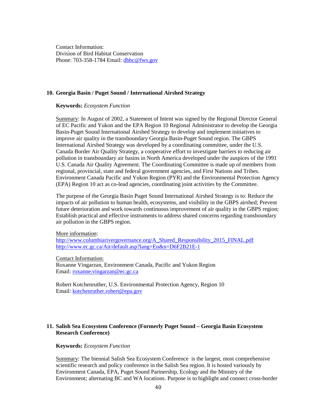Contact Information: Division of Bird Habitat Conservation Phone: 703-358-1784 Email: [dbhc@fws.gov](mailto:dbhc@fws.gov)

#### **10. Georgia Basin / Puget Sound / International Airshed Strategy**

#### **Keywords:** *Ecosystem Function*

Summary: In August of 2002, a Statement of Intent was signed by the Regional Director General of EC Pacific and Yukon and the EPA Region 10 Regional Administrator to develop the Georgia Basin-Puget Sound International Airshed Strategy to develop and implement initiatives to improve air quality in the transboundary Georgia Basin-Puget Sound region. The GBPS International Airshed Strategy was developed by a coordinating committee, under the U.S. Canada Border Air Quality Strategy, a cooperative effort to investigate barriers to reducing air pollution in transboundary air basins in North America developed under the auspices of the 1991 U.S. Canada Air Quality Agreement. The Coordinating Committee is made up of members from regional, provincial, state and federal government agencies, and First Nations and Tribes. Environment Canada Pacific and Yukon Region (PYR) and the Environmental Protection Agency (EPA) Region 10 act as co-lead agencies, coordinating joint activities by the Committee.

The purpose of the Georgia Basin Puget Sound International Airshed Strategy is to: Reduce the impacts of air pollution to human health, ecosystems, and visibility in the GBPS airshed; Prevent future deterioration and work towards continuous improvement of air quality in the GBPS region; Establish practical and effective instruments to address shared concerns regarding transboundary air pollution in the GBPS region.

#### More information:

[http://www.columbiarivergovernance.org/A\\_Shared\\_Responsibility\\_2015\\_FINAL.pdf](http://www.columbiarivergovernance.org/A_Shared_Responsibility_2015_FINAL.pdf) <http://www.ec.gc.ca/Air/default.asp?lang=En&n=D6F2B21E-1>

#### Contact Information:

Roxanne Vingarzan, Environment Canada, Pacific and Yukon Region Email: [roxanne.vingarzan@ec.gc.ca](mailto:roxanne.vingarzan@ec.gc.ca)

Robert Kotchenruther, U.S. Environmental Protection Agency, Region 10 Email: [kotchenruther.robert@epa.gov](mailto:kotchenruther.robert@epa.gov)

#### **11. Salish Sea Ecosystem Conference (Formerly Puget Sound – Georgia Basin Ecosystem Research Conference)**

#### **Keywords:** *Ecosystem Function*

Summary: The biennial Salish Sea Ecosystem Conference is the largest, most comprehensive scientific research and policy conference in the Salish Sea region. It is hosted variously by Environment Canada, EPA, Puget Sound Partnership, Ecology and the Ministry of the Environment; alternating BC and WA locations. Purpose is to highlight and connect cross-border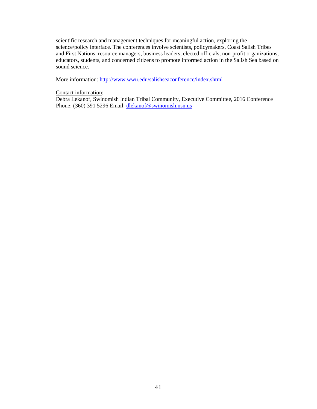scientific research and management techniques for meaningful action, exploring the science/policy interface. The conferences involve scientists, policymakers, Coast Salish Tribes and First Nations, resource managers, business leaders, elected officials, non-profit organizations, educators, students, and concerned citizens to promote informed action in the Salish Sea based on sound science.

More information:<http://www.wwu.edu/salishseaconference/index.shtml>

#### Contact information:

Debra Lekanof, Swinomish Indian Tribal Community, Executive Committee, 2016 Conference Phone: (360) 391 5296 Email: [dlekanof@swinomish.nsn.us](mailto:dlekanof@swinomish.nsn.us)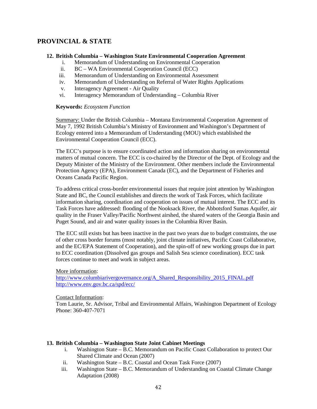# **PROVINCIAL & STATE**

#### **12. British Columbia – Washington State Environmental Cooperation Agreement**

- i. Memorandum of Understanding on Environmental Cooperation
- ii. BC WA Environmental Cooperation Council (ECC)
- iii. Memorandum of Understanding on Environmental Assessment
- iv. Memorandum of Understanding on Referral of Water Rights Applications
- v. Interagency Agreement Air Quality
- vi. Interagency Memorandum of Understanding Columbia River

#### **Keywords:** *Ecosystem Function*

Summary: Under the British Columbia – Montana Environmental Cooperation Agreement of May 7, 1992 British Columbia's Ministry of Environment and Washington's Department of Ecology entered into a Memorandum of Understanding (MOU) which established the Environmental Cooperation Council (ECC).

The ECC's purpose is to ensure coordinated action and information sharing on environmental matters of mutual concern. The ECC is co-chaired by the Director of the Dept. of Ecology and the Deputy Minister of the Ministry of the Environment. Other members include the Environmental Protection Agency (EPA), Environment Canada (EC), and the Department of Fisheries and Oceans Canada Pacific Region.

To address critical cross-border environmental issues that require joint attention by Washington State and BC, the Council establishes and directs the work of Task Forces, which facilitate information sharing, coordination and cooperation on issues of mutual interest. The ECC and its Task Forces have addressed: flooding of the Nooksack River, the Abbotsford Sumas Aquifer, air quality in the Fraser Valley/Pacific Northwest airshed, the shared waters of the Georgia Basin and Puget Sound, and air and water quality issues in the Columbia River Basin.

The ECC still exists but has been inactive in the past two years due to budget constraints, the use of other cross border forums (most notably, joint climate initiatives, Pacific Coast Collaborative, and the EC/EPA Statement of Cooperation), and the spin-off of new working groups due in part to ECC coordination (Dissolved gas groups and Salish Sea science coordination). ECC task forces continue to meet and work in subject areas.

#### More information:

[http://www.columbiarivergovernance.org/A\\_Shared\\_Responsibility\\_2015\\_FINAL.pdf](http://www.columbiarivergovernance.org/A_Shared_Responsibility_2015_FINAL.pdf) <http://www.env.gov.bc.ca/spd/ecc/>

#### Contact Information:

Tom Laurie, Sr. Advisor, Tribal and Environmental Affairs, Washington Department of Ecology Phone: 360-407-7071

#### **13. British Columbia – Washington State Joint Cabinet Meetings**

- i. Washington State B.C. Memorandum on Pacific Coast Collaboration to protect Our Shared Climate and Ocean (2007)
- ii. Washington State B.C. Coastal and Ocean Task Force (2007)
- iii. Washington State B.C. Memorandum of Understanding on Coastal Climate Change Adaptation (2008)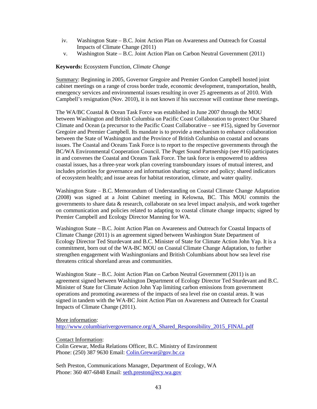- iv. Washington State B.C. Joint Action Plan on Awareness and Outreach for Coastal Impacts of Climate Change (2011)
- v. Washington State B.C. Joint Action Plan on Carbon Neutral Government (2011)

#### **Keywords:** Ecosystem Function, *Climate Change*

Summary: Beginning in 2005, Governor Gregoire and Premier Gordon Campbell hosted joint cabinet meetings on a range of cross border trade, economic development, transportation, health, emergency services and environmental issues resulting in over 25 agreements as of 2010. With Campbell's resignation (Nov. 2010), it is not known if his successor will continue these meetings.

The WA/BC Coastal & Ocean Task Force was established in June 2007 through the MOU between Washington and British Columbia on Pacific Coast Collaboration to protect Our Shared Climate and Ocean (a precursor to the Pacific Coast Collaborative – see #15), signed by Governor Gregoire and Premier Campbell. Its mandate is to provide a mechanism to enhance collaboration between the State of Washington and the Province of British Columbia on coastal and oceans issues. The Coastal and Oceans Task Force is to report to the respective governments through the BC/WA Environmental Cooperation Council. The Puget Sound Partnership (see #16) participates in and convenes the Coastal and Oceans Task Force. The task force is empowered to address coastal issues, has a three-year work plan covering transboundary issues of mutual interest, and includes priorities for governance and information sharing; science and policy; shared indicators of ecosystem health; and issue areas for habitat restoration, climate, and water quality.

Washington State – B.C. Memorandum of Understanding on Coastal Climate Change Adaptation (2008) was signed at a Joint Cabinet meeting in Kelowna, BC. This MOU commits the governments to share data & research, collaborate on sea level impact analysis, and work together on communication and policies related to adapting to coastal climate change impacts; signed by Premier Campbell and Ecology Director Manning for WA.

Washington State – B.C. Joint Action Plan on Awareness and Outreach for Coastal Impacts of Climate Change (2011) is an agreement signed between Washington State Department of Ecology Director Ted Sturdevant and B.C. Minister of State for Climate Action John Yap. It is a commitment, born out of the WA-BC MOU on Coastal Climate Change Adaptation, to further strengthen engagement with Washingtonians and British Columbians about how sea level rise threatens critical shoreland areas and communities.

Washington State – B.C. Joint Action Plan on Carbon Neutral Government (2011) is an agreement signed between Washington Department of Ecology Director Ted Sturdevant and B.C. Minister of State for Climate Action John Yap limiting carbon emissions from government operations and promoting awareness of the impacts of sea level rise on coastal areas. It was signed in tandem with the WA-BC Joint Action Plan on Awareness and Outreach for Coastal Impacts of Climate Change (2011).

#### More information:

[http://www.columbiarivergovernance.org/A\\_Shared\\_Responsibility\\_2015\\_FINAL.pdf](http://www.columbiarivergovernance.org/A_Shared_Responsibility_2015_FINAL.pdf)

Contact Information:

Colin Grewar, Media Relations Officer, B.C. Ministry of Environment Phone: (250) 387 9630 Email: [Colin.Grewar@gov.bc.ca](mailto:Colin.Grewar@gov.bc.ca)

Seth Preston, Communications Manager, Department of Ecology, WA Phone: 360 407-6848 Email: [seth.preston@ecy.wa.gov](mailto:seth.preston@ecy.wa.gov)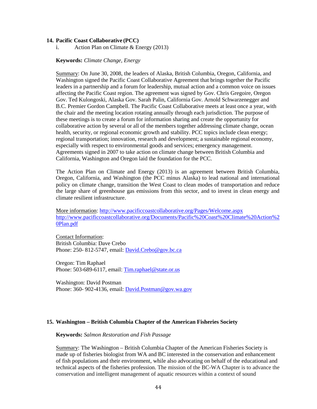#### **14. Pacific Coast Collaborative (PCC)**

i. Action Plan on Climate & Energy (2013)

#### **Keywords:** *Climate Change, Energy*

Summary: On June 30, 2008, the leaders of Alaska, British Columbia, Oregon, California, and Washington signed the Pacific Coast Collaborative Agreement that brings together the Pacific leaders in a partnership and a forum for leadership, mutual action and a common voice on issues affecting the Pacific Coast region. The agreement was signed by Gov. Chris Gregoire, Oregon Gov. Ted Kulongoski, Alaska Gov. Sarah Palin, California Gov. Arnold Schwarzenegger and B.C. Premier Gordon Campbell. The Pacific Coast Collaborative meets at least once a year, with the chair and the meeting location rotating annually through each jurisdiction. The purpose of these meetings is to create a forum for information sharing and create the opportunity for collaborative action by several or all of the members together addressing climate change, ocean health, security, or regional economic growth and stability. PCC topics include clean energy; regional transportation; innovation, research and development; a sustainable regional economy, especially with respect to environmental goods and services; emergency management. Agreements signed in 2007 to take action on climate change between British Columbia and California, Washington and Oregon laid the foundation for the PCC.

The Action Plan on Climate and Energy (2013) is an agreement between British Columbia, Oregon, California, and Washington (the PCC minus Alaska) to lead national and international policy on climate change, transition the West Coast to clean modes of transportation and reduce the large share of greenhouse gas emissions from this sector, and to invest in clean energy and climate resilient infrastructure.

More information:<http://www.pacificcoastcollaborative.org/Pages/Welcome.aspx> [http://www.pacificcoastcollaborative.org/Documents/Pacific%20Coast%20Climate%20Action%2](http://www.pacificcoastcollaborative.org/Documents/Pacific%20Coast%20Climate%20Action%20Plan.pdf) [0Plan.pdf](http://www.pacificcoastcollaborative.org/Documents/Pacific%20Coast%20Climate%20Action%20Plan.pdf)

Contact Information: British Columbia: Dave Crebo Phone: 250- 812-5747, email: [David.Crebo@gov.bc.ca](mailto:David.Crebo@gov.bc.ca)

Oregon: Tim Raphael Phone: 503-689-6117, email: Tim.raphael@state.or.us

Washington: David Postman Phone: 360- 902-4136, email: [David.Postman@gov.wa.gov](mailto:David.Postman@gov.wa.gov)

#### **15. Washington – British Columbia Chapter of the American Fisheries Society**

#### **Keywords:** *Salmon Restoration and Fish Passage*

Summary: The Washington – British Columbia Chapter of the American Fisheries Society is made up of fisheries biologist from WA and BC interested in the conservation and enhancement of fish populations and their environment, while also advocating on behalf of the educational and technical aspects of the fisheries profession. The mission of the BC-WA Chapter is to advance the conservation and intelligent management of aquatic resources within a context of sound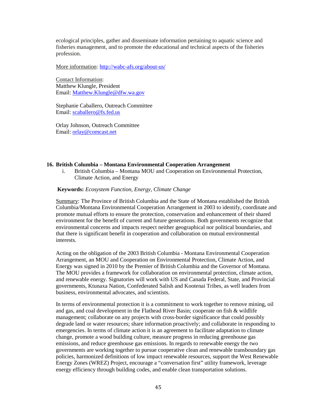ecological principles, gather and disseminate information pertaining to aquatic science and fisheries management, and to promote the educational and technical aspects of the fisheries profession.

More information:<http://wabc-afs.org/about-us/>

Contact Information: Matthew Klungle, President Email: [Matthew.Klungle@dfw.wa.gov](mailto:Matthew.Klungle@dfw.wa.gov)

Stephanie Caballero, Outreach Committee Email: [scaballero@fs.fed.us](mailto:scaballero@fs.fed.us)

Orlay Johnson, Outreach Committee Email: [orlay@comcast.net](mailto:orlay@comcast.net)

#### **16. British Columbia – Montana Environmental Cooperation Arrangement**

i. British Columbia – Montana MOU and Cooperation on Environmental Protection, Climate Action, and Energy

#### **Keywords:** *Ecosystem Function, Energy, Climate Change*

Summary: The Province of British Columbia and the State of Montana established the British Columbia/Montana Environmental Cooperation Arrangement in 2003 to identify, coordinate and promote mutual efforts to ensure the protection, conservation and enhancement of their shared environment for the benefit of current and future generations. Both governments recognize that environmental concerns and impacts respect neither geographical nor political boundaries, and that there is significant benefit in cooperation and collaboration on mutual environmental interests.

Acting on the obligation of the 2003 British Columbia - Montana Environmental Cooperation Arrangement, an MOU and Cooperation on Environmental Protection, Climate Action, and Energy was signed in 2010 by the Premier of British Columbia and the Governor of Montana. The MOU provides a framework for collaboration on environmental protection, climate action, and renewable energy. Signatories will work with US and Canada Federal, State, and Provincial governments, Ktunaxa Nation, Confederated Salish and Kootenai Tribes, as well leaders from business, environmental advocates, and scientists.

In terms of environmental protection it is a commitment to work together to remove mining, oil and gas, and coal development in the Flathead River Basin; cooperate on fish  $\&$  wildlife management; collaborate on any projects with cross-border significance that could possibly degrade land or water resources; share information proactively; and collaborate in responding to emergencies. In terms of climate action it is an agreement to facilitate adaptation to climate change, promote a wood building culture, measure progress in reducing greenhouse gas emissions, and reduce greenhouse gas emissions. In regards to renewable energy the two governments are working together to pursue cooperative clean and renewable transboundary gas policies, harmonized definitions of low impact renewable resources, support the West Renewable Energy Zones (WREZ) Project, encourage a "conversation first" utility framework, leverage energy efficiency through building codes, and enable clean transportation solutions.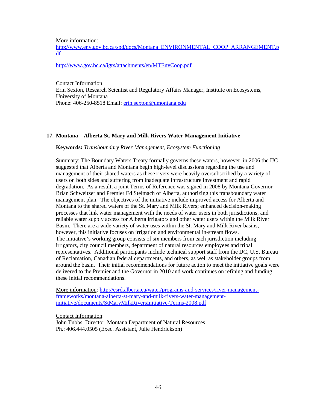More information:

[http://www.env.gov.bc.ca/spd/docs/Montana\\_ENVIRONMENTAL\\_COOP\\_ARRANGEMENT.p](http://www.env.gov.bc.ca/spd/docs/Montana_ENVIRONMENTAL_COOP_ARRANGEMENT.pdf) [df](http://www.env.gov.bc.ca/spd/docs/Montana_ENVIRONMENTAL_COOP_ARRANGEMENT.pdf)

<http://www.gov.bc.ca/igrs/attachments/en/MTEnvCoop.pdf>

Contact Information: Erin Sexton, Research Scientist and Regulatory Affairs Manager, Institute on Ecosystems, University of Montana Phone: 406-250-8518 Email: [erin.sexton@umontana.edu](mailto:erin.sexton@umontana.edu)

#### **17. Montana – Alberta St. Mary and Milk Rivers Water Management Initiative**

#### **Keywords:** *Transboundary River Management, Ecosystem Functioning*

Summary: The Boundary Waters Treaty formally governs these waters, however, in 2006 the IJC suggested that Alberta and Montana begin high-level discussions regarding the use and management of their shared waters as these rivers were heavily oversubscribed by a variety of users on both sides and suffering from inadequate infrastructure investment and rapid degradation. As a result, a joint Terms of Reference was signed in 2008 by Montana Governor Brian Schweitzer and Premier Ed Stelmach of Alberta, authorizing this transboundary water management plan. The objectives of the initiative include improved access for Alberta and Montana to the shared waters of the St. Mary and Milk Rivers; enhanced decision-making processes that link water management with the needs of water users in both jurisdictions; and reliable water supply access for Alberta irrigators and other water users within the Milk River Basin. There are a wide variety of water uses within the St. Mary and Milk River basins, however, this initiative focuses on irrigation and environmental in-stream flows. The initiative's working group consists of six members from each jurisdiction including irrigators, city council members, department of natural resources employees and tribal representatives. Additional participants include technical support staff from the IJC, U.S. Bureau of Reclamation, Canadian federal departments, and others, as well as stakeholder groups from around the basin. Their initial recommendations for future action to meet the initiative goals were delivered to the Premier and the Governor in 2010 and work continues on refining and funding these initial recommendations.

More information: [http://esrd.alberta.ca/water/programs-and-services/river-management](http://esrd.alberta.ca/water/programs-and-services/river-management-frameworks/montana-alberta-st-mary-and-milk-rivers-water-management-initiative/documents/StMaryMilkRiversInitiative-Terms-2008.pdf)[frameworks/montana-alberta-st-mary-and-milk-rivers-water-management](http://esrd.alberta.ca/water/programs-and-services/river-management-frameworks/montana-alberta-st-mary-and-milk-rivers-water-management-initiative/documents/StMaryMilkRiversInitiative-Terms-2008.pdf)[initiative/documents/StMaryMilkRiversInitiative-Terms-2008.pdf](http://esrd.alberta.ca/water/programs-and-services/river-management-frameworks/montana-alberta-st-mary-and-milk-rivers-water-management-initiative/documents/StMaryMilkRiversInitiative-Terms-2008.pdf)

Contact Information:

John Tubbs, Director, Montana Department of Natural Resources Ph.: 406.444.0505 (Exec. Assistant, Julie Hendrickson)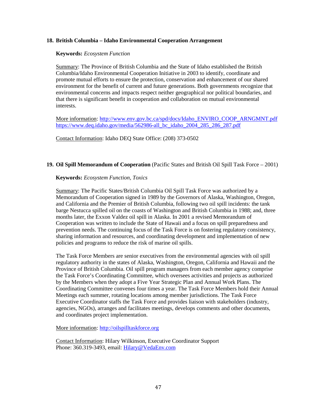#### **18. British Columbia – Idaho Environmental Cooperation Arrangement**

#### **Keywords:** *Ecosystem Function*

Summary: The Province of British Columbia and the State of Idaho established the British Columbia/Idaho Environmental Cooperation Initiative in 2003 to identify, coordinate and promote mutual efforts to ensure the protection, conservation and enhancement of our shared environment for the benefit of current and future generations. Both governments recognize that environmental concerns and impacts respect neither geographical nor political boundaries, and that there is significant benefit in cooperation and collaboration on mutual environmental interests.

More information: [http://www.env.gov.bc.ca/spd/docs/Idaho\\_ENVIRO\\_COOP\\_ARNGMNT.pdf](http://www.env.gov.bc.ca/spd/docs/Idaho_ENVIRO_COOP_ARNGMNT.pdf) [https://www.deq.idaho.gov/media/562986-all\\_bc\\_idaho\\_2004\\_285\\_286\\_287.pdf](https://www.deq.idaho.gov/media/562986-all_bc_idaho_2004_285_286_287.pdf)

Contact Information: Idaho DEQ State Office: (208) 373-0502

#### **19. Oil Spill Memorandum of Cooperation** (Pacific States and British Oil Spill Task Force – 2001)

#### **Keywords:** *Ecosystem Function, Toxics*

Summary: The Pacific States/British Columbia Oil Spill Task Force was authorized by a Memorandum of Cooperation signed in 1989 by the Governors of Alaska, Washington, Oregon, and California and the Premier of British Columbia, following two oil spill incidents: the tank barge Nestucca spilled oil on the coasts of Washington and British Columbia in 1988; and, three months later, the Exxon Valdez oil spill in Alaska. In 2001 a revised Memorandum of Cooperation was written to include the State of Hawaii and a focus on spill preparedness and prevention needs. The continuing focus of the Task Force is on fostering regulatory consistency, sharing information and resources, and coordinating development and implementation of new policies and programs to reduce the risk of marine oil spills.

The Task Force Members are senior executives from the environmental agencies with oil spill regulatory authority in the states of Alaska, Washington, Oregon, California and Hawaii and the Province of British Columbia. Oil spill program managers from each member agency comprise the Task Force's Coordinating Committee, which oversees activities and projects as authorized by the Members when they adopt a Five Year Strategic Plan and Annual Work Plans. The Coordinating Committee convenes four times a year. The Task Force Members hold their Annual Meetings each summer, rotating locations among member jurisdictions. The Task Force Executive Coordinator staffs the Task Force and provides liaison with stakeholders (industry, agencies, NGOs), arranges and facilitates meetings, develops comments and other documents, and coordinates project implementation.

More information: [http://oilspilltaskforce.org](http://oilspilltaskforce.org/)

Contact Information: Hilary Wilkinson, Executive Coordinator Support Phone: 360.319-3493, email: [Hilary@VedaEnv.com](mailto:Hilary@VedaEnv.com)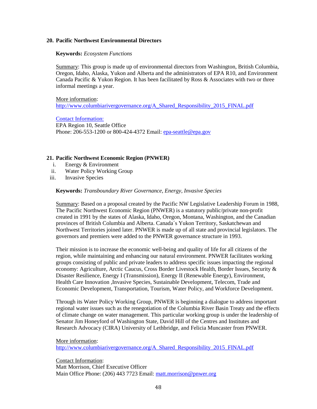#### **20. Pacific Northwest Environmental Directors**

#### **Keywords:** *Ecosystem Functions*

Summary: This group is made up of environmental directors from Washington, British Columbia, Oregon, Idaho, Alaska, Yukon and Alberta and the administrators of EPA R10, and Environment Canada Pacific & Yukon Region. It has been facilitated by Ross & Associates with two or three informal meetings a year.

More information: [http://www.columbiarivergovernance.org/A\\_Shared\\_Responsibility\\_2015\\_FINAL.pdf](http://www.columbiarivergovernance.org/A_Shared_Responsibility_2015_FINAL.pdf)

Contact Information: EPA Region 10, Seattle Office Phone: 206-553-1200 or 800-424-4372 Email: [epa-seattle@epa.gov](mailto:epa-seattle@epa.gov)

#### **21. Pacific Northwest Economic Region (PNWER)**

- i. Energy & Environment
- ii. Water Policy Working Group
- iii. Invasive Species

#### **Keywords:** *Transboundary River Governance, Energy, Invasive Species*

Summary: Based on a proposal created by the Pacific NW Legislative Leadership Forum in 1988, The Pacific Northwest Economic Region (PNWER) is a statutory public/private non-profit created in 1991 by the states of Alaska, Idaho, Oregon, Montana, Washington, and the Canadian provinces of British Columbia and Alberta. Canada´s Yukon Territory, Saskatchewan and Northwest Territories joined later. PNWER is made up of all state and provincial legislators. The governors and premiers were added to the PNWER governance structure in 1993.

Their mission is to increase the economic well-being and quality of life for all citizens of the region, while maintaining and enhancing our natural environment. PNWER facilitates working groups consisting of public and private leaders to address specific issues impacting the regional economy: Agriculture, Arctic Caucus, Cross Border Livestock Health, Border Issues, Security & Disaster Resilience, Energy I (Transmission), Energy II (Renewable Energy), Environment, Health Care Innovation ,Invasive Species, Sustainable Development, Telecom, Trade and Economic Development, Transportation, Tourism, Water Policy, and Workforce Development.

Through its Water Policy Working Group, PNWER is beginning a dialogue to address important regional water issues such as the renegotiation of the Columbia River Basin Treaty and the effects of climate change on water management. This particular working group is under the leadership of Senator Jim Honeyford of Washington State, David Hill of the Centres and Institutes and Research Advocacy (CIRA) University of Lethbridge, and Felicia Muncaster from PNWER.

More information: [http://www.columbiarivergovernance.org/A\\_Shared\\_Responsibility\\_2015\\_FINAL.pdf](http://www.columbiarivergovernance.org/A_Shared_Responsibility_2015_FINAL.pdf)

Contact Information: Matt Morrison, Chief Executive Officer Main Office Phone: (206) 443 7723 Email: [matt.morrison@pnwer.org](mailto:matt.morrison@pnwer.org)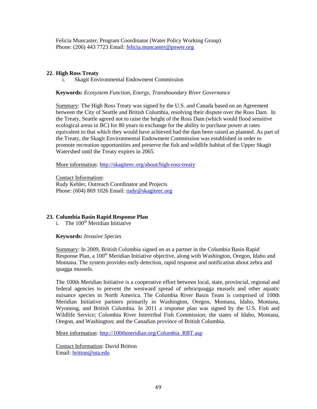Felicia Muncaster, Program Coordinator (Water Policy Working Group) Phone: (206) 443 7723 Email: [felicia.muncaster@pnwer.org](mailto:felicia.muncaster@pnwer.org)

#### **22. High Ross Treaty**

i. Skagit Environmental Endowment Commission

#### **Keywords:** *Ecosystem Function, Energy, Transboundary River Governance*

Summary: The High Ross Treaty was signed by the U.S. and Canada based on an Agreement between the City of Seattle and British Columbia, resolving their dispute over the Ross Dam. In the Treaty, Seattle agreed not to raise the height of the Ross Dam (which would flood sensitive ecological areas in BC) for 80 years in exchange for the ability to purchase power at rates equivalent to that which they would have achieved had the dam been raised as planned. As part of the Treaty, the Skagit Environmental Endowment Commission was established in order to promote recreation opportunities and preserve the fish and wildlife habitat of the Upper Skagit Watershed until the Treaty expires in 2065.

More information:<http://skagiteec.org/about/high-ross-treaty>

Contact Information: Rudy Kehler, Outreach Coordinator and Projects Phone: (604) 869 1026 Email: [rudy@skagiteec.org](mailto:rudy@skagiteec.org)

### **23. Columbia Basin Rapid Response Plan**

i. The  $100<sup>th</sup>$  Meridian Initiative

#### **Keywords:** *Invasive Species*

Summary: In 2009, British Columbia signed on as a partner in the Columbia Basin Rapid Response Plan, a 100<sup>th</sup> Meridian Initiative objective, along with Washington, Oregon, Idaho and Montana. The system provides early detection, rapid response and notification about zebra and quagga mussels.

The 100th Meridian Initiative is a cooperative effort between local, state, provincial, regional and federal agencies to prevent the westward spread of zebra/quagga mussels and other aquatic nuisance species in North America. The Columbia River Basin Team is comprised of 100th Meridian Initiative partners primarily in Washington, Oregon, Montana, Idaho, Montana, Wyoming, and British Columbia. In 2011 a response plan was signed by the U.S. Fish and Wildlife Service; Columbia River Intertribal Fish Commission; the states of Idaho, Montana, Oregon, and Washington; and the Canadian province of British Columbia.

More information: [http://100thmeridian.org/Columbia\\_RBT.asp](http://100thmeridian.org/Columbia_RBT.asp)

Contact Information: David Britton Email: [britton@uta.edu](mailto:britton@uta.edu)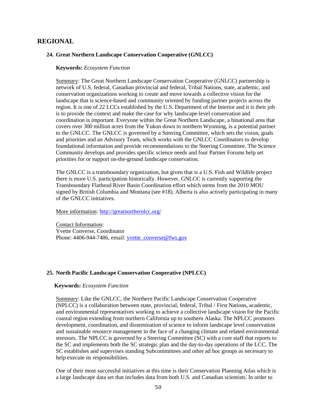### **REGIONAL**

#### **24. Great Northern Landscape Conservation Cooperative (GNLCC)**

#### **Keywords:** *Ecosystem Function*

Summary: The Great Northern Landscape Conservation Cooperative (GNLCC) partnership is network of U.S. federal, Canadian provincial and federal, Tribal Nations, state, academic, and conservation organizations working to create and move towards a collective vision for the landscape that is science-based and community oriented by funding partner projects across the region. It is one of 22 LCCs established by the U.S. Department of the Interior and it is their job is to provide the context and make the case for why landscape-level conservation and coordination is important. Everyone within the Great Northern Landscape, a binational area that covers over 300 million acres from the Yukon down to northern Wyoming, is a potential partner to the GNLCC. The GNLCC is governed by a Steering Committee, which sets the vision, goals and priorities and an Advisory Team, which works with the GNLCC Coordinators to develop foundational information and provide recommendations to the Steering Committee. The Science Community develops and provides specific science needs and four Partner Forums help set priorities for or support on-the-ground landscape conservation.

The GNLCC is a transboundary organization, but given that is a U.S. Fish and Wildlife project there is more U.S. participation historically. However, GNLCC is currently supporting the Transboundary Flathead River Basin Coordination effort which stems from the 2010 MOU signed by British Columbia and Montana (see #18). Alberta is also actively participating in many of the GNLCC initiatives.

More information:<http://greatnorthernlcc.org/>

Contact Information: Yvette Converse, Coordinator Phone: 4406-944-7486, email: [yvette\\_converse@fws.gov](mailto:yvette_converse@fws.gov)

#### **25. North Pacific Landscape Conservation Cooperative (NPLCC)**

#### **Keywords:** *Ecosystem Function*

Summary: Like the GNLCC, the Northern Pacific Landscape Conservation Cooperative (NPLCC) is a collaboration between state, provincial, federal, Tribal / First Nations, academic, and environmental representatives working to achieve a collective landscape vision for the Pacific coastal region extending from northern California up to southern Alaska. The NPLCC promotes development, coordination, and dissemination of science to inform landscape level conservation and sustainable resource management in the face of a changing climate and related environmental stressors. The NPLCC is governed by a Steering Committee (SC) with a core staff that reports to the SC and implements both the SC strategic plan and the day-to-day operations of the LCC. The SC establishes and supervises standing Subcommittees and other ad hoc groups as necessary to help execute its responsibilities.

One of their most successful initiatives at this time is their Conservation Planning Atlas which is a large landscape data set that includes data from both U.S. and Canadian scientists. In order to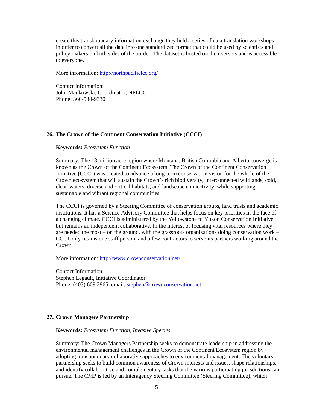create this transboundary information exchange they held a series of data translation workshops in order to convert all the data into one standardized format that could be used by scientists and policy makers on both sides of the border. The dataset is hosted on their servers and is accessible to everyone.

More information:<http://northpacificlcc.org/>

Contact Information: John Mankowski, Coordinator, NPLCC Phone: 360-534-9330

#### **26. The Crown of the Continent Conservation Initiative (CCCI)**

#### **Keywords:** *Ecosystem Function*

Summary: The 18 million acre region where Montana, British Columbia and Alberta converge is known as the Crown of the Continent Ecosystem. The Crown of the Continent Conservation Initiative (CCCI) was created to advance a long-term conservation vision for the whole of the Crown ecosystem that will sustain the Crown's rich biodiversity, interconnected wildlands, cold, clean waters, diverse and critical habitats, and landscape connectivity, while supporting sustainable and vibrant regional communities.

The CCCI is governed by a Steering Committee of conservation groups, land trusts and academic institutions. It has a Science Advisory Committee that helps focus on key priorities in the face of a changing climate. CCCI is administered by the Yellowstone to Yukon Conservation Initiative, but remains an independent collaborative. In the interest of focusing vital resources where they are needed the most – on the ground, with the grassroots organizations doing conservation work – CCCI only retains one staff person, and a few contractors to serve its partners working around the Crown.

More information:<http://www.crownconservation.net/>

Contact Information: Stephen Legault, Initiative Coordinator Phone: (403) 609 2965, email: [stephen@crownconservation.net](mailto:stephen@crownconservation.net)

#### **27. Crown Managers Partnership**

#### **Keywords:** *Ecosystem Function, Invasive Species*

Summary: The Crown Managers Partnership seeks to demonstrate leadership in addressing the environmental management challenges in the Crown of the Continent Ecosystem region by adopting transboundary collaborative approaches to environmental management. The voluntary partnership seeks to build common awareness of Crown interests and issues, shape relationships, and identify collaborative and complementary tasks that the various participating jurisdictions can pursue. The CMP is led by an Interagency Steering Committee (Steering Committee), which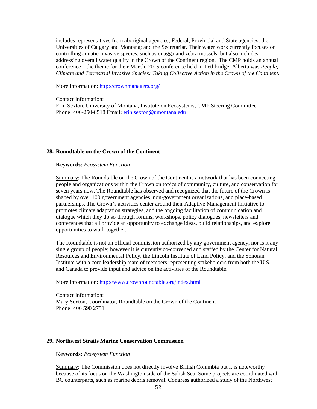includes representatives from aboriginal agencies; Federal, Provincial and State agencies; the Universities of Calgary and Montana; and the Secretariat. Their water work currently focuses on controlling aquatic invasive species, such as quagga and zebra mussels, but also includes addressing overall water quality in the Crown of the Continent region. The CMP holds an annual conference – the theme for their March, 2015 conference held in Lethbridge, Alberta was *People, Climate and Terrestrial Invasive Species: Taking Collective Action in the Crown of the Continent.*

More information:<http://crownmanagers.org/>

Contact Information:

Erin Sexton, University of Montana, Institute on Ecosystems, CMP Steering Committee Phone: 406-250-8518 Email: [erin.sexton@umontana.edu](mailto:erin.sexton@umontana.edu)

#### **28. Roundtable on the Crown of the Continent**

#### **Keywords:** *Ecosystem Function*

Summary: The Roundtable on the Crown of the Continent is a network that has been connecting people and organizations within the Crown on topics of community, culture, and conservation for seven years now. The Roundtable has observed and recognized that the future of the Crown is shaped by over 100 government agencies, non-government organizations, and place-based partnerships. The Crown's activities center around their Adaptive Management Initiative to promotes climate adaptation strategies, and the ongoing facilitation of communication and dialogue which they do so through forums, workshops, policy dialogues, newsletters and conferences that all provide an opportunity to exchange ideas, build relationships, and explore opportunities to work together.

The Roundtable is not an official commission authorized by any government agency, nor is it any single group of people; however it is currently co-convened and staffed by the Center for Natural Resources and Environmental Policy, the Lincoln Institute of Land Policy, and the Sonoran Institute with a core leadership team of members representing stakeholders from both the U.S. and Canada to provide input and advice on the activities of the Roundtable.

More information:<http://www.crownroundtable.org/index.html>

Contact Information: Mary Sexton, Coordinator, Roundtable on the Crown of the Continent Phone: 406 590 2751

#### **29. Northwest Straits Marine Conservation Commission**

#### **Keywords:** *Ecosystem Function*

Summary: The Commission does not directly involve British Columbia but it is noteworthy because of its focus on the Washington side of the Salish Sea. Some projects are coordinated with BC counterparts, such as marine debris removal. Congress authorized a study of the Northwest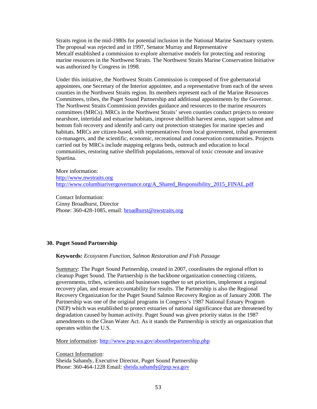Straits region in the mid-1980s for potential inclusion in the National Marine Sanctuary system. The proposal was rejected and in 1997, Senator Murray and Representative Metcalf established a commission to explore alternative models for protecting and restoring marine resources in the Northwest Straits. The Northwest Straits Marine Conservation Initiative was authorized by Congress in 1998.

Under this initiative, the Northwest Straits Commission is composed of five gubernatorial appointees, one Secretary of the Interior appointee, and a representative from each of the seven counties in the Northwest Straits region. Its members represent each of the Marine Resources Committees, tribes, the Puget Sound Partnership and additional appointments by the Governor. The Northwest Straits Commission provides guidance and resources to the marine resources committees (MRCs). MRCs in the Northwest Straits' seven counties conduct projects to restore nearshore, intertidal and estuarine habitats, improve shellfish harvest areas, support salmon and bottom fish recovery and identify and carry out protection strategies for marine species and habitats. MRCs are citizen-based, with representatives from local government, tribal government co-managers, and the scientific, economic, recreational and conservation communities. Projects carried out by MRCs include mapping eelgrass beds, outreach and education to local communities, restoring native shellfish populations, removal of toxic creosote and invasive Spartina.

More information: [http://www.nwstraits.org](http://www.nwstraits.org/)  [http://www.columbiarivergovernance.org/A\\_Shared\\_Responsibility\\_2015\\_FINAL.pdf](http://www.columbiarivergovernance.org/A_Shared_Responsibility_2015_FINAL.pdf)

Contact Information: Ginny Broadhurst, Director Phone: 360-428-1085, email: **broadhurst@nwstraits.org** 

### **30. Puget Sound Partnership**

**Keywords:** *Ecosystem Function, Salmon Restoration and Fish Passage*

Summary: The Puget Sound Partnership, created in 2007, coordinates the regional effort to cleanup Puget Sound. The Partnership is the backbone organization connecting citizens, governments, tribes, scientists and businesses together to set priorities, implement a regional recovery plan, and ensure accountability for results. The Partnership is also the Regional Recovery Organization for the Puget Sound Salmon Recovery Region as of January 2008. The Partnership was one of the original programs in Congress's 1987 National Estuary Program (NEP) which was established to protect estuaries of national significance that are threatened by degradation caused by human activity. Puget Sound was given priority status in the 1987 amendments to the Clean Water Act. As it stands the Partnership is strictly an organization that operates within the U.S.

More information:<http://www.psp.wa.gov/aboutthepartnership.php>

Contact Information: Sheida Sahandy, Executive Director, Puget Sound Partnership Phone: 360-464-1228 Email: sheida.sahandy@psp.wa.gov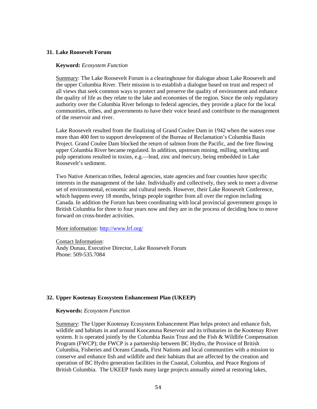#### **31. Lake Roosevelt Forum**

#### **Keyword:** *Ecosystem Function*

Summary: The Lake Roosevelt Forum is a clearinghouse for dialogue about Lake Roosevelt and the upper Columbia River. Their mission is to establish a dialogue based on trust and respect of all views that seek common ways to protect and preserve the quality of environment and enhance the quality of life as they relate to the lake and economies of the region. Since the only regulatory authority over the Columbia River belongs to federal agencies, they provide a place for the local communities, tribes, and governments to have their voice heard and contribute to the management of the reservoir and river.

Lake Roosevelt resulted from the finalizing of Grand Coulee Dam in 1942 when the waters rose more than 400 feet to support development of the Bureau of Reclamation's Columbia Basin Project. Grand Coulee Dam blocked the return of salmon from the Pacific, and the free flowing upper Columbia River became regulated. In addition, upstream mining, milling, smelting and pulp operations resulted in toxins, e.g.—lead, zinc and mercury, being embedded in Lake Roosevelt's sediment.

Two Native American tribes, federal agencies, state agencies and four counties have specific interests in the management of the lake. Individually and collectively, they seek to meet a diverse set of environmental, economic and cultural needs. However, their Lake Roosevelt Conference, which happens every 18 months, brings people together from all over the region including Canada. In addition the Forum has been coordinating with local provincial government groups in British Columbia for three to four years now and they are in the process of deciding how to move forward on cross-border activities.

#### More information:<http://www.lrf.org/>

Contact Information: Andy Dunau, Executive Director, Lake Roosevelt Forum Phone: 509-535.7084

#### **32. Upper Kootenay Ecosystem Enhancement Plan (UKEEP)**

#### **Keywords:** *Ecosystem Function*

Summary: The Upper Kootenay Ecosystem Enhancement Plan helps protect and enhance fish, wildlife and habitats in and around Koocanusa Reservoir and its tributaries in the Kootenay River system. It is operated jointly by the Columbia Basin Trust and the Fish & Wildlife Compensation Program (FWCP); the FWCP is a partnership between BC Hydro, the Province of British Columbia, Fisheries and Oceans Canada, First Nations and local communities with a mission to conserve and enhance fish and wildlife and their habitats that are affected by the creation and operation of BC Hydro generation facilities in the Coastal, Columbia, and Peace Regions of British Columbia. The UKEEP funds many large projects annually aimed at restoring lakes,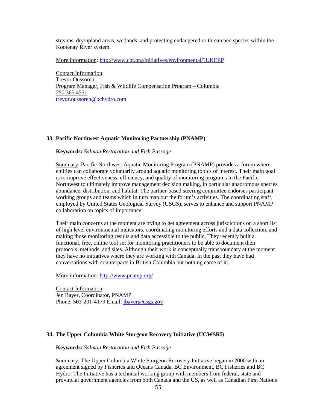streams, dry/upland areas, wetlands, and protecting endangered or threatened species within the Kootenay River system.

More information:<http://www.cbt.org/initiatives/environmental/?UKEEP>

Contact Information: Trevor Oussoren Program Manager, Fish & Wildlife Compensation Program – Columbia 250.365.4551 trevor.oussoren@bchydro.com

#### **33. Pacific Northwest Aquatic Monitoring Partnership (PNAMP)**

#### **Keywords:** *Salmon Restoration and Fish Passage*

Summary: Pacific Northwest Aquatic Monitoring Program (PNAMP) provides a forum where entities can collaborate voluntarily around aquatic monitoring topics of interest. Their main goal is to improve effectiveness, efficiency, and quality of monitoring programs in the Pacific Northwest to ultimately improve management decision making, in particular anadromous species abundance, distribution, and habitat. The partner-based steering committee endorses participant working groups and teams which in turn map out the forum's activities. The coordinating staff, employed by United States Geological Survey (USGS), serves to enhance and support PNAMP collaboration on topics of importance.

Their main concerns at the moment are trying to get agreement across jurisdictions on a short list of high level environmental indicators, coordinating monitoring efforts and a data collection, and making those monitoring results and data accessible to the public. They recently built a functional, free, online tool set for monitoring practitioners to be able to document their protocols, methods, and sites. Although their work is conceptually transboundary at the moment they have no initiatives where they are working with Canada. In the past they have had conversations with counterparts in British Columbia but nothing came of it.

More information:<http://www.pnamp.org/>

Contact Information: Jen Bayer, Coordinator, PNAMP Phone: 503-201-4179 Email: [jbayer@usgs.gov](mailto:jbayer@usgs.gov)

#### **34. The Upper Columbia White Sturgeon Recovery Initiative (UCWSRI)**

**Keywords:** *Salmon Restoration and Fish Passage*

Summary: The Upper Columbia White Sturgeon Recovery Initiative began in 2000 with an agreement signed by Fisheries and Oceans Canada, BC Environment, BC Fisheries and BC Hydro. The Initiative has a technical working group with members from federal, state and provincial government agencies from both Canada and the US, as well as Canadian First Nations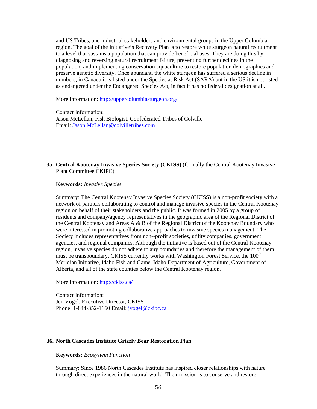and US Tribes, and industrial stakeholders and environmental groups in the Upper Columbia region. The goal of the Initiative's Recovery Plan is to restore white sturgeon natural recruitment to a level that sustains a population that can provide beneficial uses. They are doing this by diagnosing and reversing natural recruitment failure, preventing further declines in the population, and implementing conservation aquaculture to restore population demographics and preserve genetic diversity. Once abundant, the white sturgeon has suffered a serious decline in numbers, in Canada it is listed under the Species at Risk Act (SARA) but in the US it is not listed as endangered under the Endangered Species Act, in fact it has no federal designation at all.

More information:<http://uppercolumbiasturgeon.org/>

Contact Information:

Jason McLellan, Fish Biologist, Confederated Tribes of Colville Email: [Jason.McLellan@colvilletribes.com](mailto:Jason.McLellan@colvilletribes.com)

#### **35. Central Kootenay Invasive Species Society (CKISS)** (formally the Central Kootenay Invasive Plant Committee CKIPC)

**Keywords:** *Invasive Species*

Summary: The Central Kootenay Invasive Species Society (CKISS) is a non-profit society with a network of partners collaborating to control and manage invasive species in the Central Kootenay region on behalf of their stakeholders and the public. It was formed in 2005 by a group of residents and company/agency representatives in the geographic area of the Regional District of the Central Kootenay and Areas A & B of the Regional District of the Kootenay Boundary who were interested in promoting collaborative approaches to invasive species management. The Society includes representatives from non--profit societies, utility companies, government agencies, and regional companies. Although the initiative is based out of the Central Kootenay region, invasive species do not adhere to any boundaries and therefore the management of them must be transboundary. CKISS currently works with Washington Forest Service, the 100<sup>th</sup> Meridian Initiative, Idaho Fish and Game, Idaho Department of Agriculture, Government of Alberta, and all of the state counties below the Central Kootenay region.

More information:<http://ckiss.ca/>

Contact Information: Jen Vogel, Executive Director, CKISS Phone: 1-844-352-1160 Email: *jvogel@ckipc.ca* 

#### **36. North Cascades Institute Grizzly Bear Restoration Plan**

#### **Keywords:** *Ecosystem Function*

Summary: Since 1986 North Cascades Institute has inspired closer relationships with nature through direct experiences in the natural world. Their mission is to conserve and restore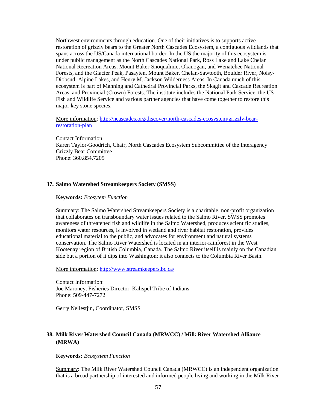Northwest environments through education. One of their initiatives is to supports active restoration of grizzly bears to the Greater North Cascades Ecosystem, a contiguous wildlands that spans across the US/Canada international border. In the US the majority of this ecosystem is under public management as the North Cascades National Park, Ross Lake and Lake Chelan National Recreation Areas, Mount Baker-Snoqualmie, Okanogan, and Wenatchee National Forests, and the Glacier Peak, Pasayten, Mount Baker, Chelan-Sawtooth, Boulder River, Noisy-Diobsud, Alpine Lakes, and Henry M. Jackson Wilderness Areas. In Canada much of this ecosystem is part of Manning and Cathedral Provincial Parks, the Skagit and Cascade Recreation Areas, and Provincial (Crown) Forests. The institute includes the National Park Service, the US Fish and Wildlife Service and various partner agencies that have come together to restore this major key stone species.

More information: [http://ncascades.org/discover/north-cascades-ecosystem/grizzly-bear](http://ncascades.org/discover/north-cascades-ecosystem/grizzly-bear-restoration-plan)[restoration-plan](http://ncascades.org/discover/north-cascades-ecosystem/grizzly-bear-restoration-plan)

Contact Information: Karen Taylor-Goodrich, Chair, North Cascades Ecosystem Subcommittee of the Interagency Grizzly Bear Committee Phone: 360.854.7205

#### **37. Salmo Watershed Streamkeepers Society (SMSS)**

#### **Keywords:** *Ecosytem Function*

Summary: The Salmo Watershed Streamkeepers Society is a charitable, non-profit organization that collaborates on transboundary water issues related to the Salmo River. SWSS promotes awareness of threatened fish and wildlife in the Salmo Watershed, produces scientific studies, monitors water resources, is involved in wetland and river habitat restoration, provides educational material to the public, and advocates for environment and natural systems conservation. The Salmo River Watershed is located in an interior-rainforest in the West Kootenay region of British Columbia, Canada. The Salmo River itself is mainly on the Canadian side but a portion of it dips into Washington; it also connects to the Columbia River Basin.

More information:<http://www.streamkeepers.bc.ca/>

Contact Information: Joe Maroney, Fisheries Director, Kalispel Tribe of Indians Phone: 509-447-7272

Gerry Nellestjin, Coordinator, SMSS

### **38. Milk River Watershed Council Canada (MRWCC) / Milk River Watershed Alliance (MRWA)**

#### **Keywords:** *Ecosystem Function*

Summary: The Milk River Watershed Council Canada (MRWCC) is an independent organization that is a broad partnership of interested and informed people living and working in the Milk River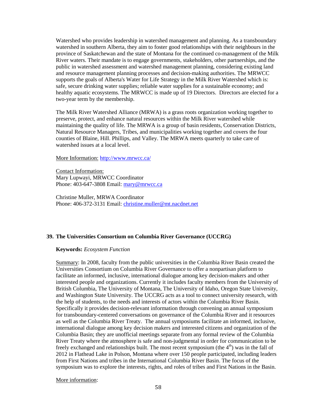Watershed who provides leadership in watershed management and planning. As a transboundary watershed in southern Alberta, they aim to foster good relationships with their neighbours in the province of Saskatchewan and the state of Montana for the continued co-management of the Milk River waters. Their mandate is to engage governments, stakeholders, other partnerships, and the public in watershed assessment and watershed management planning, considering existing land and resource management planning processes and decision-making authorities. The MRWCC supports the goals of Alberta's Water for Life Strategy in the Milk River Watershed which is: safe, secure drinking water supplies; reliable water supplies for a sustainable economy; and healthy aquatic ecosystems. The MRWCC is made up of 19 Directors. Directors are elected for a two-year term by the membership.

The Milk River Watershed Alliance (MRWA) is a grass roots organization working together to preserve, protect, and enhance natural resources within the Milk River watershed while maintaining the quality of life. The MRWA is a group of basin residents, Conservation Districts, Natural Resource Managers, Tribes, and municipalities working together and covers the four counties of Blaine, Hill. Phillips, and Valley. The MRWA meets quarterly to take care of watershed issues at a local level.

#### More Information: <http://www.mrwcc.ca/>

Contact Information: Mary Lupwayi, MRWCC Coordinator Phone: 403-647-3808 Email: [mary@mrwcc.ca](mailto:mary@mrwcc.ca)

Christine Muller, MRWA Coordinator Phone: 406-372-3131 Email: [christine.muller@mt.nacdnet.net](mailto:christine.muller@mt.nacdnet.net)

#### **39. The Universities Consortium on Columbia River Governance (UCCRG)**

#### **Keywords:** *Ecosystem Function*

Summary: In 2008, faculty from the public universities in the Columbia River Basin created the Universities Consortium on Columbia River Governance to offer a nonpartisan platform to facilitate an informed, inclusive, international dialogue among key decision-makers and other interested people and organizations. Currently it includes faculty members from the University of British Columbia, The University of Montana, The University of Idaho, Oregon State University, and Washington State University. The UCCRG acts as a tool to connect university research, with the help of students, to the needs and interests of actors within the Columbia River Basin. Specifically it provides decision-relevant information through convening an annual symposium for transboundary-centered conversations on governance of the Columbia River and it resources as well as the Columbia River Treaty. The annual symposiums facilitate an informed, inclusive, international dialogue among key decision makers and interested citizens and organization of the Columbia Basin; they are unofficial meetings separate from any formal review of the Columbia River Treaty where the atmosphere is safe and non-judgmental in order for communication to be freely exchanged and relationships built. The most recent symposium (the  $4<sup>th</sup>$ ) was in the fall of 2012 in Flathead Lake in Polson, Montana where over 150 people participated, including leaders from First Nations and tribes in the International Columbia River Basin. The focus of the symposium was to explore the interests, rights, and roles of tribes and First Nations in the Basin.

More information: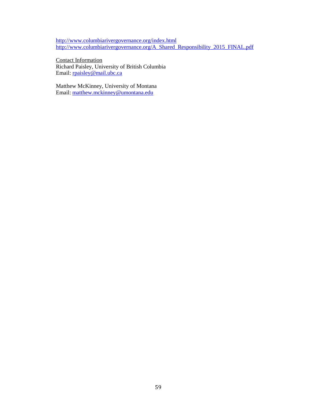<http://www.columbiarivergovernance.org/index.html> [http://www.columbiarivergovernance.org/A\\_Shared\\_Responsibility\\_2015\\_FINAL.pdf](http://www.columbiarivergovernance.org/A_Shared_Responsibility_2015_FINAL.pdf)

Contact Information Richard Paisley, University of British Columbia Email: [rpaisley@mail.ubc.ca](mailto:rpaisley@mail.ubc.ca)

Matthew McKinney, University of Montana Email: [matthew.mckinney@umontana.edu](mailto:matthew.mckinney@umontana.edu)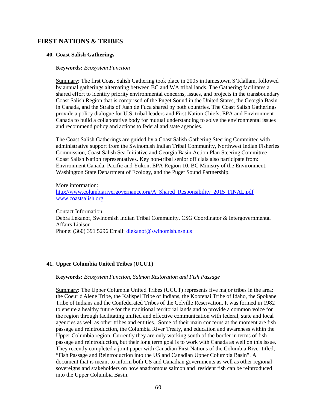### **FIRST NATIONS & TRIBES**

#### **40. Coast Salish Gatherings**

#### **Keywords:** *Ecosystem Function*

Summary: The first Coast Salish Gathering took place in 2005 in Jamestown S'Klallam, followed by annual gatherings alternating between BC and WA tribal lands. The Gathering facilitates a shared effort to identify priority environmental concerns, issues, and projects in the transboundary Coast Salish Region that is comprised of the Puget Sound in the United States, the Georgia Basin in Canada, and the Straits of Juan de Fuca shared by both countries. The Coast Salish Gatherings provide a policy dialogue for U.S. tribal leaders and First Nation Chiefs, EPA and Environment Canada to build a collaborative body for mutual understanding to solve the environmental issues and recommend policy and actions to federal and state agencies.

The Coast Salish Gatherings are guided by a Coast Salish Gathering Steering Committee with administrative support from the Swinomish Indian Tribal Community, Northwest Indian Fisheries Commission, Coast Salish Sea Initiative and Georgia Basin Action Plan Steering Committee Coast Salish Nation representatives. Key non-tribal senior officials also participate from: Environment Canada, Pacific and Yukon, EPA Region 10, BC Ministry of the Environment, Washington State Department of Ecology, and the Puget Sound Partnership.

#### More information:

[http://www.columbiarivergovernance.org/A\\_Shared\\_Responsibility\\_2015\\_FINAL.pdf](http://www.columbiarivergovernance.org/A_Shared_Responsibility_2015_FINAL.pdf) [www.coastsalish.org](http://www.coastsalish.org/)

Contact Information:

Debra Lekanof, Swinomish Indian Tribal Community, CSG Coordinator & Intergovernmental Affairs Liaison Phone: (360) 391 5296 Email: [dlekanof@swinomish.nsn.us](mailto:dlekanof@swinomish.nsn.us)

#### **41. Upper Columbia United Tribes (UCUT)**

#### **Keywords:** *Ecosystem Function, Salmon Restoration and Fish Passage*

Summary: The Upper Columbia United Tribes (UCUT) represents five major tribes in the area: the Coeur d'Alene Tribe, the Kalispel Tribe of Indians, the Kootenai Tribe of Idaho, the Spokane Tribe of Indians and the Confederated Tribes of the Colville Reservation. It was formed in 1982 to ensure a healthy future for the traditional territorial lands and to provide a common voice for the region through facilitating unified and effective communication with federal, state and local agencies as well as other tribes and entities. Some of their main concerns at the moment are fish passage and reintroduction, the Columbia River Treaty, and education and awareness within the Upper Columbia region. Currently they are only working south of the border in terms of fish passage and reintroduction, but their long term goal is to work with Canada as well on this issue. They recently completed a joint paper with Canadian First Nations of the Columbia River titled, "Fish Passage and Reintroduction into the US and Canadian Upper Columbia Basin". A document that is meant to inform both US and Canadian governments as well as other regional sovereigns and stakeholders on how anadromous salmon and resident fish can be reintroduced into the Upper Columbia Basin.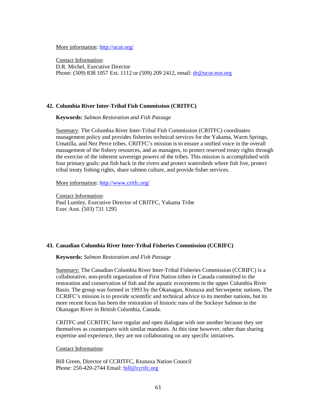More information:<http://ucut.org/>

Contact Information: D.R. Michel, Executive Director Phone: (509) 838 1057 Ext. 1112 or (509) 209 2412, email: [dr@ucut-nsn.org](mailto:dr@ucut-nsn.org)

#### **42. Columbia River Inter-Tribal Fish Commission (CRITFC)**

**Keywords:** *Salmon Restoration and Fish Passage*

Summary: The Columbia River Inter-Tribal Fish Commission (CRITFC) coordinates management policy and provides fisheries technical services for the Yakama, Warm Springs, Umatilla, and Nez Perce tribes. CRITFC's mission is to ensure a unified voice in the overall management of the fishery resources, and as managers, to protect reserved treaty rights through the exercise of the inherent sovereign powers of the tribes. This mission is accomplished with four primary goals: put fish back in the rivers and protect watersheds where fish live, protect tribal treaty fishing rights, share salmon culture, and provide fisher services.

More information:<http://www.critfc.org/>

Contact Information: Paul Lumley, Executive Director of CRITFC, Yakama Tribe Exec Asst. (503) 731 1295

#### **43. Canadian Columbia River Inter-Tribal Fisheries Commission (CCRIFC)**

**Keywords:** *Salmon Restoration and Fish Passage*

Summary: The Canadian Columbia River Inter-Tribal Fisheries Commission (CCRIFC) is a collaborative, non-profit organization of First Nation tribes in Canada committed to the restoration and conservation of fish and the aquatic ecosystems in the upper Columbia River Basin. The group was formed in 1993 by the Okanagan, Ktunaxa and Secwepemc nations. The CCRIFC's mission is to provide scientific and technical advice to its member nations, but its more recent focus has been the restoration of historic runs of the Sockeye Salmon in the Okanagan River in British Columbia, Canada.

CRITFC and CCRITFC have regular and open dialogue with one another because they see themselves as counterparts with similar mandates. At this time however, other than sharing expertise and experience, they are not collaborating on any specific initiatives.

#### Contact Information:

Bill Green, Director of CCRITFC, Ktunaxa Nation Council Phone: 250-420-2744 Email: [bill@ccrifc.org](mailto:bill@ccrifc.org)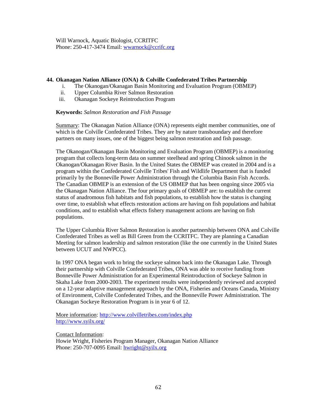Will Warnock, Aquatic Biologist, CCRITFC Phone: 250-417-3474 Email: [wwarnock@ccrifc.org](mailto:wwarnock@ccrifc.org) 

#### **44. Okanagan Nation Alliance (ONA) & Colville Confederated Tribes Partnership**

- i. The Okanogan/Okanagan Basin Monitoring and Evaluation Program (OBMEP)
- ii. Upper Columbia River Salmon Restoration
- iii. Okanagan Sockeye Reintroduction Program

#### **Keywords:** *Salmon Restoration and Fish Passage*

Summary: The Okanagan Nation Alliance (ONA) represents eight member communities, one of which is the Colville Confederated Tribes. They are by nature transboundary and therefore partners on many issues, one of the biggest being salmon restoration and fish passage.

The Okanogan/Okanagan Basin Monitoring and Evaluation Program (OBMEP) is a monitoring program that collects long-term data on summer steelhead and spring Chinook salmon in the Okanogan/Okanagan River Basin. In the United States the OBMEP was created in 2004 and is a program within the Confederated Colville Tribes' Fish and Wildlife Department that is funded primarily by the Bonneville Power Administration through the Columbia Basin Fish Accords. The Canadian OBMEP is an extension of the US OBMEP that has been ongoing since 2005 via the Okanagan Nation Alliance. The four primary goals of OBMEP are: to establish the current status of anadromous fish habitats and fish populations, to establish how the status is changing over time, to establish what effects restoration actions are having on fish populations and habitat conditions, and to establish what effects fishery management actions are having on fish populations.

The Upper Columbia River Salmon Restoration is another partnership between ONA and Colville Confederated Tribes as well as Bill Green from the CCRITFC. They are planning a Canadian Meeting for salmon leadership and salmon restoration (like the one currently in the United States between UCUT and NWPCC).

In 1997 ONA began work to bring the sockeye salmon back into the Okanagan Lake. Through their partnership with Colville Confederated Tribes, ONA was able to receive funding from Bonneville Power Administration for an Experimental Reintroduction of Sockeye Salmon in Skaha Lake from 2000-2003. The experiment results were independently reviewed and accepted on a 12-year adaptive management approach by the ONA, Fisheries and Oceans Canada, Ministry of Environment, Colville Confederated Tribes, and the Bonneville Power Administration. The Okanagan Sockeye Restoration Program is in year 6 of 12.

More information:<http://www.colvilletribes.com/index.php> <http://www.syilx.org/>

Contact Information:

Howie Wright, Fisheries Program Manager, Okanagan Nation Alliance Phone: 250-707-0095 Email: [hwright@syilx.org](mailto:hwright@syilx.org)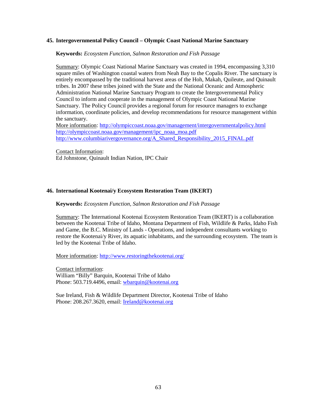#### **45. Intergovernmental Policy Council – Olympic Coast National Marine Sanctuary**

**Keywords:** *Ecosystem Function, Salmon Restoration and Fish Passage*

Summary: Olympic Coast National Marine Sanctuary was created in 1994, encompassing 3,310 square miles of Washington coastal waters from Neah Bay to the Copalis River. The sanctuary is entirely encompassed by the traditional harvest areas of the Hoh, Makah, Quileute, and Quinault tribes. In 2007 these tribes joined with the State and the National Oceanic and Atmospheric Administration National Marine Sanctuary Program to create the Intergovernmental Policy Council to inform and cooperate in the management of Olympic Coast National Marine Sanctuary. The Policy Council provides a regional forum for resource managers to exchange information, coordinate policies, and develop recommendations for resource management within the sanctuary.

More information:<http://olympiccoast.noaa.gov/management/intergovernmentalpolicy.html> [http://olympiccoast.noaa.gov/management/ipc\\_noaa\\_moa.pdf](http://olympiccoast.noaa.gov/management/ipc_noaa_moa.pdf) [http://www.columbiarivergovernance.org/A\\_Shared\\_Responsibility\\_2015\\_FINAL.pdf](http://www.columbiarivergovernance.org/A_Shared_Responsibility_2015_FINAL.pdf)

Contact Information:

Ed Johnstone, Quinault Indian Nation, IPC Chair

#### **46. International Kootenai/y Ecosystem Restoration Team (IKERT)**

#### **Keywords:** *Ecosystem Function, Salmon Restoration and Fish Passage*

Summary: The International Kootenai Ecosystem Restoration Team (IKERT) is a collaboration between the Kootenai Tribe of Idaho, Montana Department of Fish, Wildlife & Parks, Idaho Fish and Game, the B.C. Ministry of Lands - Operations, and independent consultants working to restore the Kootenai/y River, its aquatic inhabitants, and the surrounding ecosystem. The team is led by the Kootenai Tribe of Idaho.

More information:<http://www.restoringthekootenai.org/>

Contact information: William "Billy" Barquin, Kootenai Tribe of Idaho Phone: 503.719.4496, email: [wbarquin@kootenai.org](mailto:wbarquin@kootenai.org)

Sue Ireland, Fish & Wildlife Department Director, Kootenai Tribe of Idaho Phone: 208.267.3620, email: [Ireland@kootenai.org](mailto:Ireland@kootenai.org)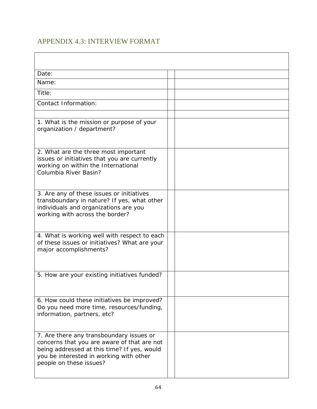# APPENDIX 4.3: INTERVIEW FORMAT

| Date:                                                                                                                                                                                                        |  |
|--------------------------------------------------------------------------------------------------------------------------------------------------------------------------------------------------------------|--|
| Name:                                                                                                                                                                                                        |  |
| Title:                                                                                                                                                                                                       |  |
| <b>Contact Information:</b>                                                                                                                                                                                  |  |
|                                                                                                                                                                                                              |  |
| 1. What is the mission or purpose of your<br>organization / department?                                                                                                                                      |  |
| 2. What are the three most important<br>issues or initiatives that you are currently<br>working on within the International<br>Columbia River Basin?                                                         |  |
| 3. Are any of these issues or initiatives<br>transboundary in nature? If yes, what other<br>individuals and organizations are you<br>working with across the border?                                         |  |
| 4. What is working well with respect to each<br>of these issues or initiatives? What are your<br>major accomplishments?                                                                                      |  |
| 5. How are your existing initiatives funded?                                                                                                                                                                 |  |
| 6. How could these initiatives be improved?<br>Do you need more time, resources/funding,<br>information, partners, etc?                                                                                      |  |
| 7. Are there any transboundary issues or<br>concerns that you are aware of that are not<br>being addressed at this time? If yes, would<br>you be interested in working with other<br>people on these issues? |  |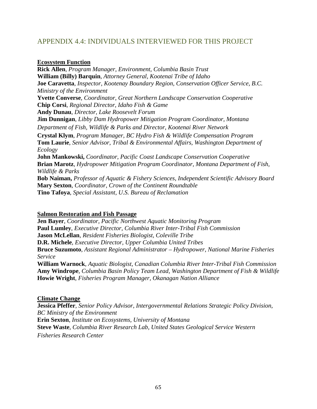# APPENDIX 4.4: INDIVIDUALS INTERVIEWED FOR THIS PROJECT

### **Ecosystem Function**

**Rick Allen**, *Program Manager, Environment, Columbia Basin Trust* **William (Billy) Barquin**, *Attorney General, Kootenai Tribe of Idaho* **Joe Caravetta**, *Inspector, Kootenay Boundary Region, Conservation Officer Service, B.C. Ministry of the Environment* **Yvette Converse**, *Coordinator, Great Northern Landscape Conservation Cooperative* **Chip Corsi**, *Regional Director, Idaho Fish & Game* **Andy Dunau**, *Director, Lake Roosevelt Forum*  **Jim Dunnigan**, *Libby Dam Hydropower Mitigation Program Coordinator, Montana Department of Fish, Wildlife & Parks and Director, Kootenai River Network* **Crystal Klym**, *Program Manager, BC Hydro Fish & Wildlife Compensation Program* **Tom Laurie**, *Senior Advisor, Tribal & Environmental Affairs, Washington Department of Ecology* **John Mankowski,** *Coordinator, Pacific Coast Landscape Conservation Cooperative*  **Brian Marotz**, *Hydropower Mitigation Program Coordinator, Montana Department of Fish, Wildlife & Parks* **Bob Naiman,** *Professor of Aquatic & Fishery Sciences, Independent Scientific Advisory Board* **Mary Sexton**, *Coordinator, Crown of the Continent Roundtable* **Tino Tafoya**, *Special Assistant, U.S. Bureau of Reclamation*

### **Salmon Restoration and Fish Passage**

**Jen Bayer**, *Coordinator, Pacific Northwest Aquatic Monitoring Program* **Paul Lumley**, *Executive Director, Columbia River Inter-Tribal Fish Commission*  **Jason McLellan**, *Resident Fisheries Biologist, Coleville Tribe* **D.R. Michele**, *Executive Director, Upper Columbia United Tribes* **Bruce Suzumoto**, *Assistant Regional Administrator – Hydropower, National Marine Fisheries Service* **William Warnock***, Aquatic Biologist, Canadian Columbia River Inter-Tribal Fish Commission* **Amy Windrope**, *Columbia Basin Policy Team Lead, Washington Department of Fish & Wildlife*

# **Climate Change**

**Jessica Pfeffer**, *Senior Policy Advisor, Intergovernmental Relations Strategic Policy Division, BC Ministry of the Environment* **Erin Sexton**, *Institute on Ecosystems, University of Montana* **Steve Waste**, *Columbia River Research Lab, United States Geological Service Western Fisheries Research Center*

**Howie Wright**, *Fisheries Program Manager, Okanagan Nation Alliance*